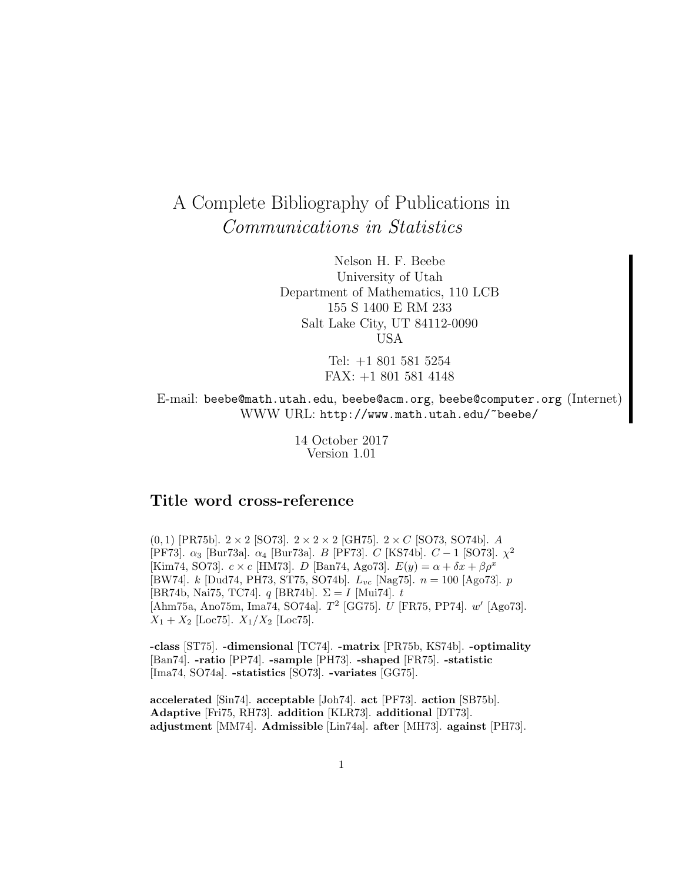# A Complete Bibliography of Publications in Communications in Statistics

Nelson H. F. Beebe University of Utah Department of Mathematics, 110 LCB 155 S 1400 E RM 233 Salt Lake City, UT 84112-0090 USA

> Tel: +1 801 581 5254 FAX: +1 801 581 4148

E-mail: beebe@math.utah.edu, beebe@acm.org, beebe@computer.org (Internet) WWW URL: http://www.math.utah.edu/~beebe/

> 14 October 2017 Version 1.01

# **Title word cross-reference**

 $(0, 1)$  [PR75b].  $2 \times 2$  [SO73].  $2 \times 2 \times 2$  [GH75].  $2 \times C$  [SO73, SO74b]. A [PF73].  $\alpha_3$  [Bur73a].  $\alpha_4$  [Bur73a]. B [PF73]. C [KS74b].  $C-1$  [SO73].  $\chi^2$ [Kim74, SO73].  $c \times c$  [HM73]. D [Ban74, Ago73].  $E(y) = \alpha + \delta x + \beta \rho^x$ [BW74]. k [Dud74, PH73, ST75, SO74b].  $L_{vc}$  [Nag75].  $n = 100$  [Ago73].  $p$ [BR74b, Nai75, TC74].  $q$  [BR74b].  $\Sigma = I$  [Mui74].  $t$ [Ahm75a, Ano75m, Ima74, SO74a].  $T^2$  [GG75]. U [FR75, PP74]. w' [Ago73].  $X_1 + X_2$  [Loc75].  $X_1/X_2$  [Loc75].

**-class** [ST75]. **-dimensional** [TC74]. **-matrix** [PR75b, KS74b]. **-optimality** [Ban74]. **-ratio** [PP74]. **-sample** [PH73]. **-shaped** [FR75]. **-statistic** [Ima74, SO74a]. **-statistics** [SO73]. **-variates** [GG75].

**accelerated** [Sin74]. **acceptable** [Joh74]. **act** [PF73]. **action** [SB75b]. **Adaptive** [Fri75, RH73]. **addition** [KLR73]. **additional** [DT73]. **adjustment** [MM74]. **Admissible** [Lin74a]. **after** [MH73]. **against** [PH73].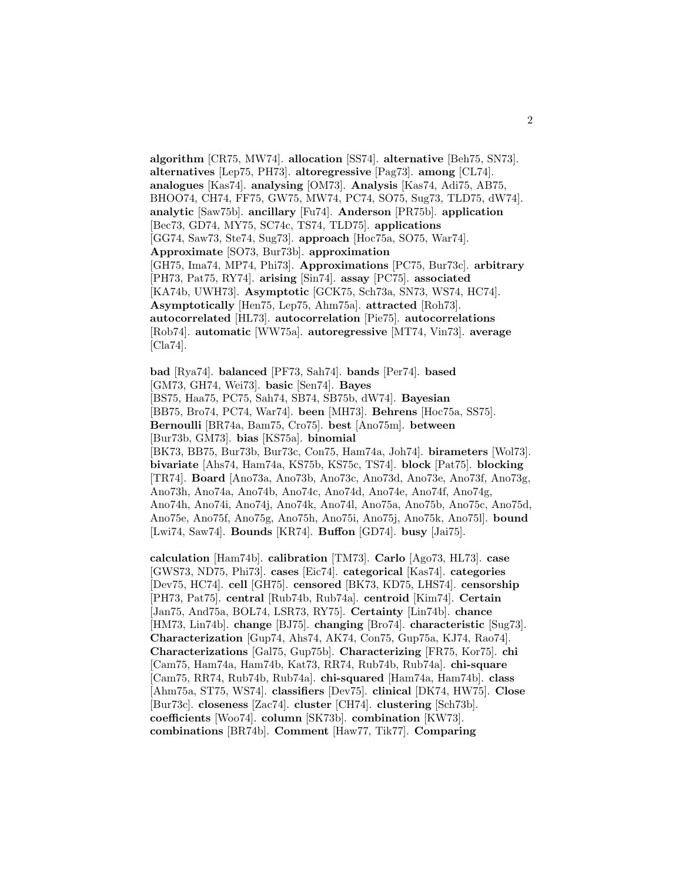**algorithm** [CR75, MW74]. **allocation** [SS74]. **alternative** [Beh75, SN73]. **alternatives** [Lep75, PH73]. **altoregressive** [Pag73]. **among** [CL74]. **analogues** [Kas74]. **analysing** [OM73]. **Analysis** [Kas74, Adi75, AB75, BHOO74, CH74, FF75, GW75, MW74, PC74, SO75, Sug73, TLD75, dW74]. **analytic** [Saw75b]. **ancillary** [Fu74]. **Anderson** [PR75b]. **application** [Bec73, GD74, MY75, SC74c, TS74, TLD75]. **applications** [GG74, Saw73, Ste74, Sug73]. **approach** [Hoc75a, SO75, War74]. **Approximate** [SO73, Bur73b]. **approximation** [GH75, Ima74, MP74, Phi73]. **Approximations** [PC75, Bur73c]. **arbitrary** [PH73, Pat75, RY74]. **arising** [Sin74]. **assay** [PC75]. **associated** [KA74b, UWH73]. **Asymptotic** [GCK75, Sch73a, SN73, WS74, HC74]. **Asymptotically** [Hen75, Lep75, Ahm75a]. **attracted** [Roh73]. **autocorrelated** [HL73]. **autocorrelation** [Pie75]. **autocorrelations** [Rob74]. **automatic** [WW75a]. **autoregressive** [MT74, Vin73]. **average** [Cla74].

**bad** [Rya74]. **balanced** [PF73, Sah74]. **bands** [Per74]. **based** [GM73, GH74, Wei73]. **basic** [Sen74]. **Bayes** [BS75, Haa75, PC75, Sah74, SB74, SB75b, dW74]. **Bayesian** [BB75, Bro74, PC74, War74]. **been** [MH73]. **Behrens** [Hoc75a, SS75]. **Bernoulli** [BR74a, Bam75, Cro75]. **best** [Ano75m]. **between** [Bur73b, GM73]. **bias** [KS75a]. **binomial** [BK73, BB75, Bur73b, Bur73c, Con75, Ham74a, Joh74]. **birameters** [Wol73]. **bivariate** [Ahs74, Ham74a, KS75b, KS75c, TS74]. **block** [Pat75]. **blocking** [TR74]. **Board** [Ano73a, Ano73b, Ano73c, Ano73d, Ano73e, Ano73f, Ano73g, Ano73h, Ano74a, Ano74b, Ano74c, Ano74d, Ano74e, Ano74f, Ano74g, Ano74h, Ano74i, Ano74j, Ano74k, Ano74l, Ano75a, Ano75b, Ano75c, Ano75d, Ano75e, Ano75f, Ano75g, Ano75h, Ano75i, Ano75j, Ano75k, Ano75l]. **bound** [Lwi74, Saw74]. **Bounds** [KR74]. **Buffon** [GD74]. **busy** [Jai75].

**calculation** [Ham74b]. **calibration** [TM73]. **Carlo** [Ago73, HL73]. **case** [GWS73, ND75, Phi73]. **cases** [Eic74]. **categorical** [Kas74]. **categories** [Dev75, HC74]. **cell** [GH75]. **censored** [BK73, KD75, LHS74]. **censorship** [PH73, Pat75]. **central** [Rub74b, Rub74a]. **centroid** [Kim74]. **Certain** [Jan75, And75a, BOL74, LSR73, RY75]. **Certainty** [Lin74b]. **chance** [HM73, Lin74b]. **change** [BJ75]. **changing** [Bro74]. **characteristic** [Sug73]. **Characterization** [Gup74, Ahs74, AK74, Con75, Gup75a, KJ74, Rao74]. **Characterizations** [Gal75, Gup75b]. **Characterizing** [FR75, Kor75]. **chi** [Cam75, Ham74a, Ham74b, Kat73, RR74, Rub74b, Rub74a]. **chi-square** [Cam75, RR74, Rub74b, Rub74a]. **chi-squared** [Ham74a, Ham74b]. **class** [Ahm75a, ST75, WS74]. **classifiers** [Dev75]. **clinical** [DK74, HW75]. **Close** [Bur73c]. **closeness** [Zac74]. **cluster** [CH74]. **clustering** [Sch73b]. **coefficients** [Woo74]. **column** [SK73b]. **combination** [KW73]. **combinations** [BR74b]. **Comment** [Haw77, Tik77]. **Comparing**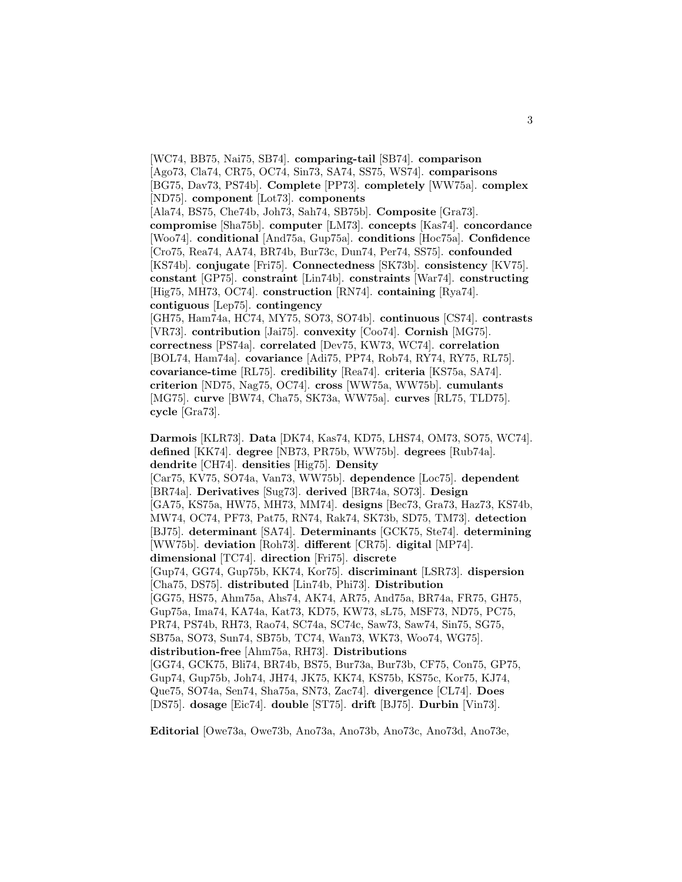[WC74, BB75, Nai75, SB74]. **comparing-tail** [SB74]. **comparison** [Ago73, Cla74, CR75, OC74, Sin73, SA74, SS75, WS74]. **comparisons** [BG75, Dav73, PS74b]. **Complete** [PP73]. **completely** [WW75a]. **complex** [ND75]. **component** [Lot73]. **components** [Ala74, BS75, Che74b, Joh73, Sah74, SB75b]. **Composite** [Gra73]. **compromise** [Sha75b]. **computer** [LM73]. **concepts** [Kas74]. **concordance** [Woo74]. **conditional** [And75a, Gup75a]. **conditions** [Hoc75a]. **Confidence** [Cro75, Rea74, AA74, BR74b, Bur73c, Dun74, Per74, SS75]. **confounded** [KS74b]. **conjugate** [Fri75]. **Connectedness** [SK73b]. **consistency** [KV75]. **constant** [GP75]. **constraint** [Lin74b]. **constraints** [War74]. **constructing** [Hig75, MH73, OC74]. **construction** [RN74]. **containing** [Rya74]. **contiguous** [Lep75]. **contingency** [GH75, Ham74a, HC74, MY75, SO73, SO74b]. **continuous** [CS74]. **contrasts** [VR73]. **contribution** [Jai75]. **convexity** [Coo74]. **Cornish** [MG75]. **correctness** [PS74a]. **correlated** [Dev75, KW73, WC74]. **correlation** [BOL74, Ham74a]. **covariance** [Adi75, PP74, Rob74, RY74, RY75, RL75]. **covariance-time** [RL75]. **credibility** [Rea74]. **criteria** [KS75a, SA74]. **criterion** [ND75, Nag75, OC74]. **cross** [WW75a, WW75b]. **cumulants** [MG75]. **curve** [BW74, Cha75, SK73a, WW75a]. **curves** [RL75, TLD75].

**cycle** [Gra73].

**Darmois** [KLR73]. **Data** [DK74, Kas74, KD75, LHS74, OM73, SO75, WC74]. **defined** [KK74]. **degree** [NB73, PR75b, WW75b]. **degrees** [Rub74a]. **dendrite** [CH74]. **densities** [Hig75]. **Density** [Car75, KV75, SO74a, Van73, WW75b]. **dependence** [Loc75]. **dependent** [BR74a]. **Derivatives** [Sug73]. **derived** [BR74a, SO73]. **Design** [GA75, KS75a, HW75, MH73, MM74]. **designs** [Bec73, Gra73, Haz73, KS74b, MW74, OC74, PF73, Pat75, RN74, Rak74, SK73b, SD75, TM73]. **detection** [BJ75]. **determinant** [SA74]. **Determinants** [GCK75, Ste74]. **determining** [WW75b]. **deviation** [Roh73]. **different** [CR75]. **digital** [MP74]. **dimensional** [TC74]. **direction** [Fri75]. **discrete** [Gup74, GG74, Gup75b, KK74, Kor75]. **discriminant** [LSR73]. **dispersion** [Cha75, DS75]. **distributed** [Lin74b, Phi73]. **Distribution** [GG75, HS75, Ahm75a, Ahs74, AK74, AR75, And75a, BR74a, FR75, GH75, Gup75a, Ima74, KA74a, Kat73, KD75, KW73, sL75, MSF73, ND75, PC75, PR74, PS74b, RH73, Rao74, SC74a, SC74c, Saw73, Saw74, Sin75, SG75, SB75a, SO73, Sun74, SB75b, TC74, Wan73, WK73, Woo74, WG75]. **distribution-free** [Ahm75a, RH73]. **Distributions** [GG74, GCK75, Bli74, BR74b, BS75, Bur73a, Bur73b, CF75, Con75, GP75, Gup74, Gup75b, Joh74, JH74, JK75, KK74, KS75b, KS75c, Kor75, KJ74, Que75, SO74a, Sen74, Sha75a, SN73, Zac74]. **divergence** [CL74]. **Does** [DS75]. **dosage** [Eic74]. **double** [ST75]. **drift** [BJ75]. **Durbin** [Vin73].

**Editorial** [Owe73a, Owe73b, Ano73a, Ano73b, Ano73c, Ano73d, Ano73e,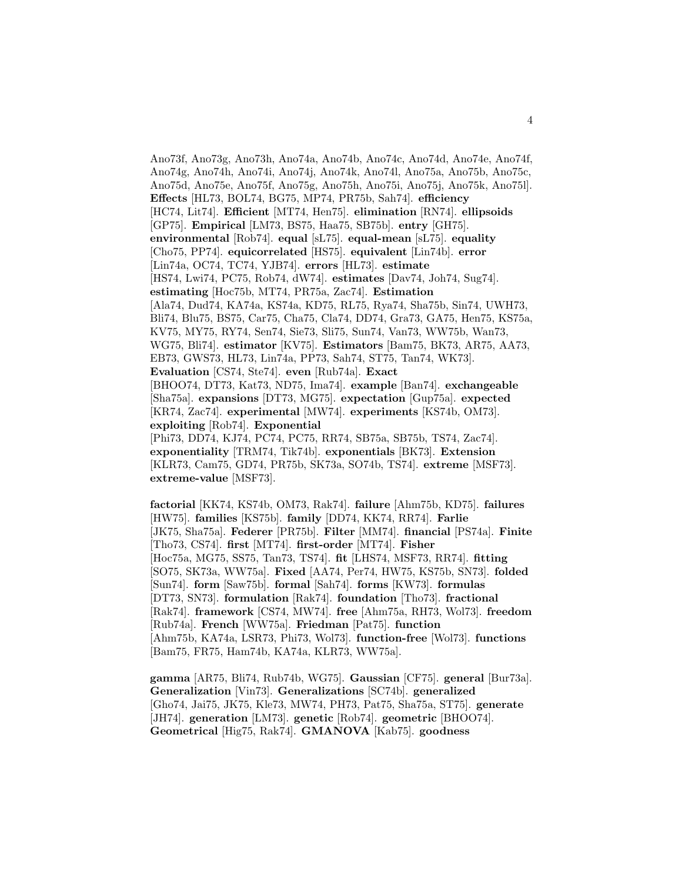Ano73f, Ano73g, Ano73h, Ano74a, Ano74b, Ano74c, Ano74d, Ano74e, Ano74f, Ano74g, Ano74h, Ano74i, Ano74j, Ano74k, Ano74l, Ano75a, Ano75b, Ano75c, Ano75d, Ano75e, Ano75f, Ano75g, Ano75h, Ano75i, Ano75j, Ano75k, Ano75l]. **Effects** [HL73, BOL74, BG75, MP74, PR75b, Sah74]. **efficiency** [HC74, Lit74]. **Efficient** [MT74, Hen75]. **elimination** [RN74]. **ellipsoids** [GP75]. **Empirical** [LM73, BS75, Haa75, SB75b]. **entry** [GH75]. **environmental** [Rob74]. **equal** [sL75]. **equal-mean** [sL75]. **equality** [Cho75, PP74]. **equicorrelated** [HS75]. **equivalent** [Lin74b]. **error** [Lin74a, OC74, TC74, YJB74]. **errors** [HL73]. **estimate** [HS74, Lwi74, PC75, Rob74, dW74]. **estimates** [Dav74, Joh74, Sug74]. **estimating** [Hoc75b, MT74, PR75a, Zac74]. **Estimation** [Ala74, Dud74, KA74a, KS74a, KD75, RL75, Rya74, Sha75b, Sin74, UWH73, Bli74, Blu75, BS75, Car75, Cha75, Cla74, DD74, Gra73, GA75, Hen75, KS75a, KV75, MY75, RY74, Sen74, Sie73, Sli75, Sun74, Van73, WW75b, Wan73, WG75, Bli74]. **estimator** [KV75]. **Estimators** [Bam75, BK73, AR75, AA73, EB73, GWS73, HL73, Lin74a, PP73, Sah74, ST75, Tan74, WK73]. **Evaluation** [CS74, Ste74]. **even** [Rub74a]. **Exact** [BHOO74, DT73, Kat73, ND75, Ima74]. **example** [Ban74]. **exchangeable** [Sha75a]. **expansions** [DT73, MG75]. **expectation** [Gup75a]. **expected** [KR74, Zac74]. **experimental** [MW74]. **experiments** [KS74b, OM73]. **exploiting** [Rob74]. **Exponential** [Phi73, DD74, KJ74, PC74, PC75, RR74, SB75a, SB75b, TS74, Zac74]. **exponentiality** [TRM74, Tik74b]. **exponentials** [BK73]. **Extension** [KLR73, Cam75, GD74, PR75b, SK73a, SO74b, TS74]. **extreme** [MSF73]. **extreme-value** [MSF73].

**factorial** [KK74, KS74b, OM73, Rak74]. **failure** [Ahm75b, KD75]. **failures** [HW75]. **families** [KS75b]. **family** [DD74, KK74, RR74]. **Farlie** [JK75, Sha75a]. **Federer** [PR75b]. **Filter** [MM74]. **financial** [PS74a]. **Finite** [Tho73, CS74]. **first** [MT74]. **first-order** [MT74]. **Fisher** [Hoc75a, MG75, SS75, Tan73, TS74]. **fit** [LHS74, MSF73, RR74]. **fitting** [SO75, SK73a, WW75a]. **Fixed** [AA74, Per74, HW75, KS75b, SN73]. **folded** [Sun74]. **form** [Saw75b]. **formal** [Sah74]. **forms** [KW73]. **formulas** [DT73, SN73]. **formulation** [Rak74]. **foundation** [Tho73]. **fractional** [Rak74]. **framework** [CS74, MW74]. **free** [Ahm75a, RH73, Wol73]. **freedom** [Rub74a]. **French** [WW75a]. **Friedman** [Pat75]. **function** [Ahm75b, KA74a, LSR73, Phi73, Wol73]. **function-free** [Wol73]. **functions** [Bam75, FR75, Ham74b, KA74a, KLR73, WW75a].

**gamma** [AR75, Bli74, Rub74b, WG75]. **Gaussian** [CF75]. **general** [Bur73a]. **Generalization** [Vin73]. **Generalizations** [SC74b]. **generalized** [Gho74, Jai75, JK75, Kle73, MW74, PH73, Pat75, Sha75a, ST75]. **generate** [JH74]. **generation** [LM73]. **genetic** [Rob74]. **geometric** [BHOO74]. **Geometrical** [Hig75, Rak74]. **GMANOVA** [Kab75]. **goodness**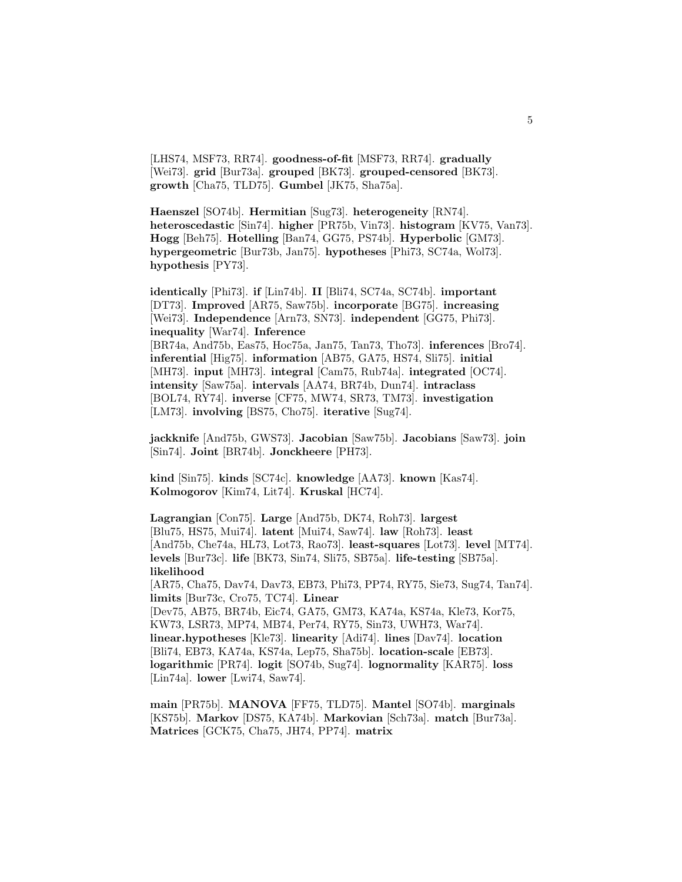[LHS74, MSF73, RR74]. **goodness-of-fit** [MSF73, RR74]. **gradually** [Wei73]. **grid** [Bur73a]. **grouped** [BK73]. **grouped-censored** [BK73]. **growth** [Cha75, TLD75]. **Gumbel** [JK75, Sha75a].

**Haenszel** [SO74b]. **Hermitian** [Sug73]. **heterogeneity** [RN74]. **heteroscedastic** [Sin74]. **higher** [PR75b, Vin73]. **histogram** [KV75, Van73]. **Hogg** [Beh75]. **Hotelling** [Ban74, GG75, PS74b]. **Hyperbolic** [GM73]. **hypergeometric** [Bur73b, Jan75]. **hypotheses** [Phi73, SC74a, Wol73]. **hypothesis** [PY73].

**identically** [Phi73]. **if** [Lin74b]. **II** [Bli74, SC74a, SC74b]. **important** [DT73]. **Improved** [AR75, Saw75b]. **incorporate** [BG75]. **increasing** [Wei73]. **Independence** [Arn73, SN73]. **independent** [GG75, Phi73]. **inequality** [War74]. **Inference** [BR74a, And75b, Eas75, Hoc75a, Jan75, Tan73, Tho73]. **inferences** [Bro74]. **inferential** [Hig75]. **information** [AB75, GA75, HS74, Sli75]. **initial** [MH73]. **input** [MH73]. **integral** [Cam75, Rub74a]. **integrated** [OC74]. **intensity** [Saw75a]. **intervals** [AA74, BR74b, Dun74]. **intraclass** [BOL74, RY74]. **inverse** [CF75, MW74, SR73, TM73]. **investigation** [LM73]. **involving** [BS75, Cho75]. **iterative** [Sug74].

**jackknife** [And75b, GWS73]. **Jacobian** [Saw75b]. **Jacobians** [Saw73]. **join** [Sin74]. **Joint** [BR74b]. **Jonckheere** [PH73].

**kind** [Sin75]. **kinds** [SC74c]. **knowledge** [AA73]. **known** [Kas74]. **Kolmogorov** [Kim74, Lit74]. **Kruskal** [HC74].

**Lagrangian** [Con75]. **Large** [And75b, DK74, Roh73]. **largest** [Blu75, HS75, Mui74]. **latent** [Mui74, Saw74]. **law** [Roh73]. **least** [And75b, Che74a, HL73, Lot73, Rao73]. **least-squares** [Lot73]. **level** [MT74]. **levels** [Bur73c]. **life** [BK73, Sin74, Sli75, SB75a]. **life-testing** [SB75a]. **likelihood** [AR75, Cha75, Dav74, Dav73, EB73, Phi73, PP74, RY75, Sie73, Sug74, Tan74]. **limits** [Bur73c, Cro75, TC74]. **Linear** [Dev75, AB75, BR74b, Eic74, GA75, GM73, KA74a, KS74a, Kle73, Kor75,

KW73, LSR73, MP74, MB74, Per74, RY75, Sin73, UWH73, War74]. **linear.hypotheses** [Kle73]. **linearity** [Adi74]. **lines** [Dav74]. **location** [Bli74, EB73, KA74a, KS74a, Lep75, Sha75b]. **location-scale** [EB73]. **logarithmic** [PR74]. **logit** [SO74b, Sug74]. **lognormality** [KAR75]. **loss** [Lin74a]. **lower** [Lwi74, Saw74].

**main** [PR75b]. **MANOVA** [FF75, TLD75]. **Mantel** [SO74b]. **marginals** [KS75b]. **Markov** [DS75, KA74b]. **Markovian** [Sch73a]. **match** [Bur73a]. **Matrices** [GCK75, Cha75, JH74, PP74]. **matrix**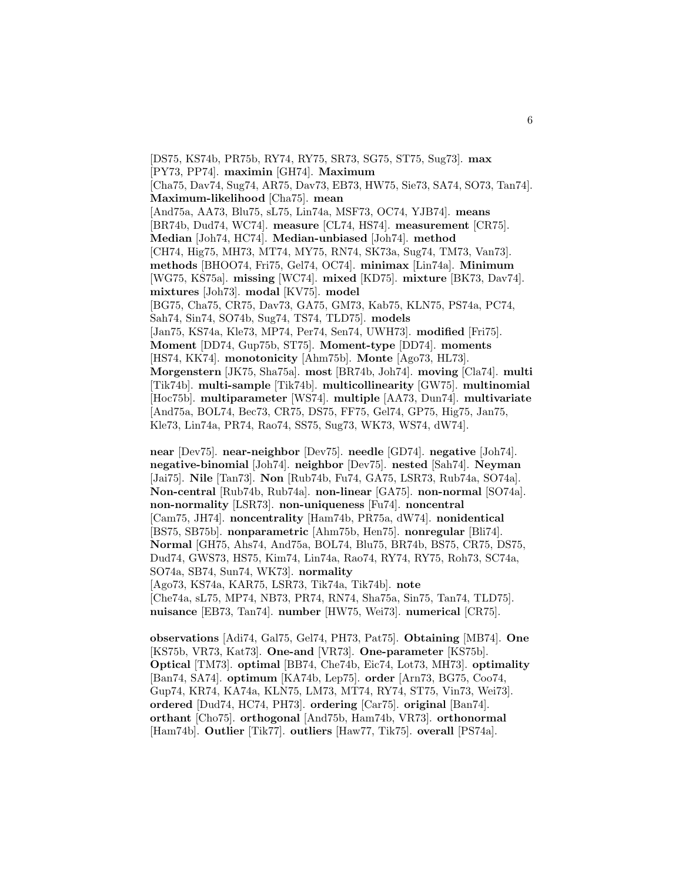[DS75, KS74b, PR75b, RY74, RY75, SR73, SG75, ST75, Sug73]. **max** [PY73, PP74]. **maximin** [GH74]. **Maximum** [Cha75, Dav74, Sug74, AR75, Dav73, EB73, HW75, Sie73, SA74, SO73, Tan74]. **Maximum-likelihood** [Cha75]. **mean** [And75a, AA73, Blu75, sL75, Lin74a, MSF73, OC74, YJB74]. **means** [BR74b, Dud74, WC74]. **measure** [CL74, HS74]. **measurement** [CR75]. **Median** [Joh74, HC74]. **Median-unbiased** [Joh74]. **method** [CH74, Hig75, MH73, MT74, MY75, RN74, SK73a, Sug74, TM73, Van73]. **methods** [BHOO74, Fri75, Gel74, OC74]. **minimax** [Lin74a]. **Minimum** [WG75, KS75a]. **missing** [WC74]. **mixed** [KD75]. **mixture** [BK73, Dav74]. **mixtures** [Joh73]. **modal** [KV75]. **model** [BG75, Cha75, CR75, Dav73, GA75, GM73, Kab75, KLN75, PS74a, PC74, Sah74, Sin74, SO74b, Sug74, TS74, TLD75]. **models** [Jan75, KS74a, Kle73, MP74, Per74, Sen74, UWH73]. **modified** [Fri75]. **Moment** [DD74, Gup75b, ST75]. **Moment-type** [DD74]. **moments** [HS74, KK74]. **monotonicity** [Ahm75b]. **Monte** [Ago73, HL73]. **Morgenstern** [JK75, Sha75a]. **most** [BR74b, Joh74]. **moving** [Cla74]. **multi** [Tik74b]. **multi-sample** [Tik74b]. **multicollinearity** [GW75]. **multinomial** [Hoc75b]. **multiparameter** [WS74]. **multiple** [AA73, Dun74]. **multivariate** [And75a, BOL74, Bec73, CR75, DS75, FF75, Gel74, GP75, Hig75, Jan75, Kle73, Lin74a, PR74, Rao74, SS75, Sug73, WK73, WS74, dW74].

**near** [Dev75]. **near-neighbor** [Dev75]. **needle** [GD74]. **negative** [Joh74]. **negative-binomial** [Joh74]. **neighbor** [Dev75]. **nested** [Sah74]. **Neyman** [Jai75]. **Nile** [Tan73]. **Non** [Rub74b, Fu74, GA75, LSR73, Rub74a, SO74a]. **Non-central** [Rub74b, Rub74a]. **non-linear** [GA75]. **non-normal** [SO74a]. **non-normality** [LSR73]. **non-uniqueness** [Fu74]. **noncentral** [Cam75, JH74]. **noncentrality** [Ham74b, PR75a, dW74]. **nonidentical** [BS75, SB75b]. **nonparametric** [Ahm75b, Hen75]. **nonregular** [Bli74]. **Normal** [GH75, Ahs74, And75a, BOL74, Blu75, BR74b, BS75, CR75, DS75, Dud74, GWS73, HS75, Kim74, Lin74a, Rao74, RY74, RY75, Roh73, SC74a, SO74a, SB74, Sun74, WK73]. **normality** [Ago73, KS74a, KAR75, LSR73, Tik74a, Tik74b]. **note**

[Che74a, sL75, MP74, NB73, PR74, RN74, Sha75a, Sin75, Tan74, TLD75]. **nuisance** [EB73, Tan74]. **number** [HW75, Wei73]. **numerical** [CR75].

**observations** [Adi74, Gal75, Gel74, PH73, Pat75]. **Obtaining** [MB74]. **One** [KS75b, VR73, Kat73]. **One-and** [VR73]. **One-parameter** [KS75b]. **Optical** [TM73]. **optimal** [BB74, Che74b, Eic74, Lot73, MH73]. **optimality** [Ban74, SA74]. **optimum** [KA74b, Lep75]. **order** [Arn73, BG75, Coo74, Gup74, KR74, KA74a, KLN75, LM73, MT74, RY74, ST75, Vin73, Wei73]. **ordered** [Dud74, HC74, PH73]. **ordering** [Car75]. **original** [Ban74]. **orthant** [Cho75]. **orthogonal** [And75b, Ham74b, VR73]. **orthonormal** [Ham74b]. **Outlier** [Tik77]. **outliers** [Haw77, Tik75]. **overall** [PS74a].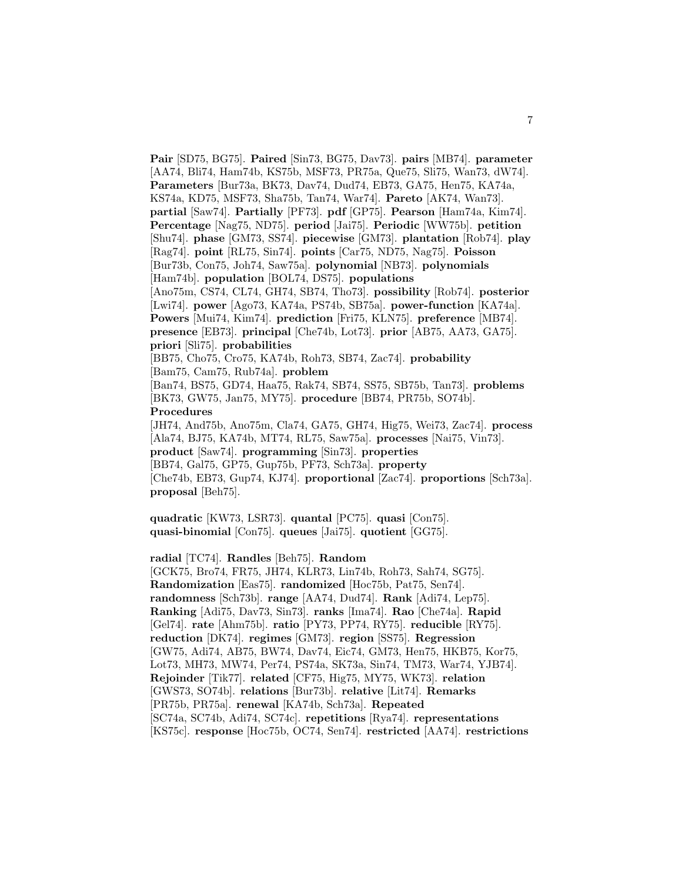**Pair** [SD75, BG75]. **Paired** [Sin73, BG75, Dav73]. **pairs** [MB74]. **parameter** [AA74, Bli74, Ham74b, KS75b, MSF73, PR75a, Que75, Sli75, Wan73, dW74]. **Parameters** [Bur73a, BK73, Dav74, Dud74, EB73, GA75, Hen75, KA74a, KS74a, KD75, MSF73, Sha75b, Tan74, War74]. **Pareto** [AK74, Wan73]. **partial** [Saw74]. **Partially** [PF73]. **pdf** [GP75]. **Pearson** [Ham74a, Kim74]. **Percentage** [Nag75, ND75]. **period** [Jai75]. **Periodic** [WW75b]. **petition** [Shu74]. **phase** [GM73, SS74]. **piecewise** [GM73]. **plantation** [Rob74]. **play** [Rag74]. **point** [RL75, Sin74]. **points** [Car75, ND75, Nag75]. **Poisson** [Bur73b, Con75, Joh74, Saw75a]. **polynomial** [NB73]. **polynomials** [Ham74b]. **population** [BOL74, DS75]. **populations** [Ano75m, CS74, CL74, GH74, SB74, Tho73]. **possibility** [Rob74]. **posterior** [Lwi74]. **power** [Ago73, KA74a, PS74b, SB75a]. **power-function** [KA74a]. **Powers** [Mui74, Kim74]. **prediction** [Fri75, KLN75]. **preference** [MB74]. **presence** [EB73]. **principal** [Che74b, Lot73]. **prior** [AB75, AA73, GA75]. **priori** [Sli75]. **probabilities** [BB75, Cho75, Cro75, KA74b, Roh73, SB74, Zac74]. **probability** [Bam75, Cam75, Rub74a]. **problem** [Ban74, BS75, GD74, Haa75, Rak74, SB74, SS75, SB75b, Tan73]. **problems** [BK73, GW75, Jan75, MY75]. **procedure** [BB74, PR75b, SO74b]. **Procedures** [JH74, And75b, Ano75m, Cla74, GA75, GH74, Hig75, Wei73, Zac74]. **process** [Ala74, BJ75, KA74b, MT74, RL75, Saw75a]. **processes** [Nai75, Vin73]. **product** [Saw74]. **programming** [Sin73]. **properties** [BB74, Gal75, GP75, Gup75b, PF73, Sch73a]. **property** [Che74b, EB73, Gup74, KJ74]. **proportional** [Zac74]. **proportions** [Sch73a]. **proposal** [Beh75].

**quadratic** [KW73, LSR73]. **quantal** [PC75]. **quasi** [Con75]. **quasi-binomial** [Con75]. **queues** [Jai75]. **quotient** [GG75].

**radial** [TC74]. **Randles** [Beh75]. **Random**

[GCK75, Bro74, FR75, JH74, KLR73, Lin74b, Roh73, Sah74, SG75]. **Randomization** [Eas75]. **randomized** [Hoc75b, Pat75, Sen74]. **randomness** [Sch73b]. **range** [AA74, Dud74]. **Rank** [Adi74, Lep75]. **Ranking** [Adi75, Dav73, Sin73]. **ranks** [Ima74]. **Rao** [Che74a]. **Rapid** [Gel74]. **rate** [Ahm75b]. **ratio** [PY73, PP74, RY75]. **reducible** [RY75]. **reduction** [DK74]. **regimes** [GM73]. **region** [SS75]. **Regression** [GW75, Adi74, AB75, BW74, Dav74, Eic74, GM73, Hen75, HKB75, Kor75, Lot73, MH73, MW74, Per74, PS74a, SK73a, Sin74, TM73, War74, YJB74]. **Rejoinder** [Tik77]. **related** [CF75, Hig75, MY75, WK73]. **relation** [GWS73, SO74b]. **relations** [Bur73b]. **relative** [Lit74]. **Remarks** [PR75b, PR75a]. **renewal** [KA74b, Sch73a]. **Repeated** [SC74a, SC74b, Adi74, SC74c]. **repetitions** [Rya74]. **representations** [KS75c]. **response** [Hoc75b, OC74, Sen74]. **restricted** [AA74]. **restrictions**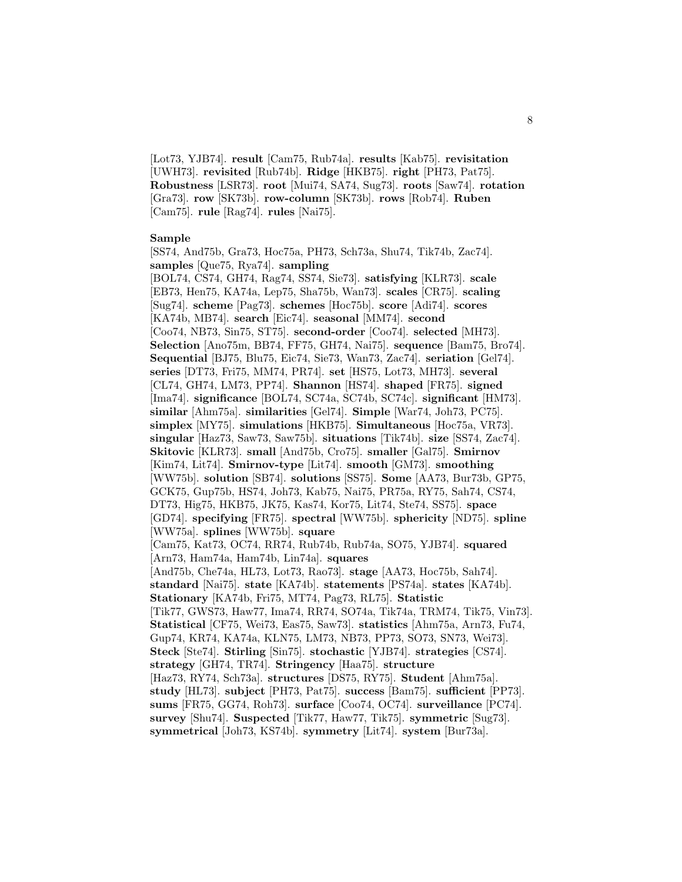[Lot73, YJB74]. **result** [Cam75, Rub74a]. **results** [Kab75]. **revisitation** [UWH73]. **revisited** [Rub74b]. **Ridge** [HKB75]. **right** [PH73, Pat75]. **Robustness** [LSR73]. **root** [Mui74, SA74, Sug73]. **roots** [Saw74]. **rotation** [Gra73]. **row** [SK73b]. **row-column** [SK73b]. **rows** [Rob74]. **Ruben** [Cam75]. **rule** [Rag74]. **rules** [Nai75].

#### **Sample**

[SS74, And75b, Gra73, Hoc75a, PH73, Sch73a, Shu74, Tik74b, Zac74]. **samples** [Que75, Rya74]. **sampling**

[BOL74, CS74, GH74, Rag74, SS74, Sie73]. **satisfying** [KLR73]. **scale** [EB73, Hen75, KA74a, Lep75, Sha75b, Wan73]. **scales** [CR75]. **scaling** [Sug74]. **scheme** [Pag73]. **schemes** [Hoc75b]. **score** [Adi74]. **scores** [KA74b, MB74]. **search** [Eic74]. **seasonal** [MM74]. **second** [Coo74, NB73, Sin75, ST75]. **second-order** [Coo74]. **selected** [MH73]. **Selection** [Ano75m, BB74, FF75, GH74, Nai75]. **sequence** [Bam75, Bro74]. **Sequential** [BJ75, Blu75, Eic74, Sie73, Wan73, Zac74]. **seriation** [Gel74]. **series** [DT73, Fri75, MM74, PR74]. **set** [HS75, Lot73, MH73]. **several** [CL74, GH74, LM73, PP74]. **Shannon** [HS74]. **shaped** [FR75]. **signed** [Ima74]. **significance** [BOL74, SC74a, SC74b, SC74c]. **significant** [HM73]. **similar** [Ahm75a]. **similarities** [Gel74]. **Simple** [War74, Joh73, PC75]. **simplex** [MY75]. **simulations** [HKB75]. **Simultaneous** [Hoc75a, VR73]. **singular** [Haz73, Saw73, Saw75b]. **situations** [Tik74b]. **size** [SS74, Zac74]. **Skitovic** [KLR73]. **small** [And75b, Cro75]. **smaller** [Gal75]. **Smirnov** [Kim74, Lit74]. **Smirnov-type** [Lit74]. **smooth** [GM73]. **smoothing** [WW75b]. **solution** [SB74]. **solutions** [SS75]. **Some** [AA73, Bur73b, GP75, GCK75, Gup75b, HS74, Joh73, Kab75, Nai75, PR75a, RY75, Sah74, CS74, DT73, Hig75, HKB75, JK75, Kas74, Kor75, Lit74, Ste74, SS75]. **space** [GD74]. **specifying** [FR75]. **spectral** [WW75b]. **sphericity** [ND75]. **spline** [WW75a]. **splines** [WW75b]. **square** [Cam75, Kat73, OC74, RR74, Rub74b, Rub74a, SO75, YJB74]. **squared** [Arn73, Ham74a, Ham74b, Lin74a]. **squares** [And75b, Che74a, HL73, Lot73, Rao73]. **stage** [AA73, Hoc75b, Sah74]. **standard** [Nai75]. **state** [KA74b]. **statements** [PS74a]. **states** [KA74b]. **Stationary** [KA74b, Fri75, MT74, Pag73, RL75]. **Statistic** [Tik77, GWS73, Haw77, Ima74, RR74, SO74a, Tik74a, TRM74, Tik75, Vin73]. **Statistical** [CF75, Wei73, Eas75, Saw73]. **statistics** [Ahm75a, Arn73, Fu74, Gup74, KR74, KA74a, KLN75, LM73, NB73, PP73, SO73, SN73, Wei73]. **Steck** [Ste74]. **Stirling** [Sin75]. **stochastic** [YJB74]. **strategies** [CS74]. **strategy** [GH74, TR74]. **Stringency** [Haa75]. **structure** [Haz73, RY74, Sch73a]. **structures** [DS75, RY75]. **Student** [Ahm75a]. **study** [HL73]. **subject** [PH73, Pat75]. **success** [Bam75]. **sufficient** [PP73]. **sums** [FR75, GG74, Roh73]. **surface** [Coo74, OC74]. **surveillance** [PC74]. **survey** [Shu74]. **Suspected** [Tik77, Haw77, Tik75]. **symmetric** [Sug73]. **symmetrical** [Joh73, KS74b]. **symmetry** [Lit74]. **system** [Bur73a].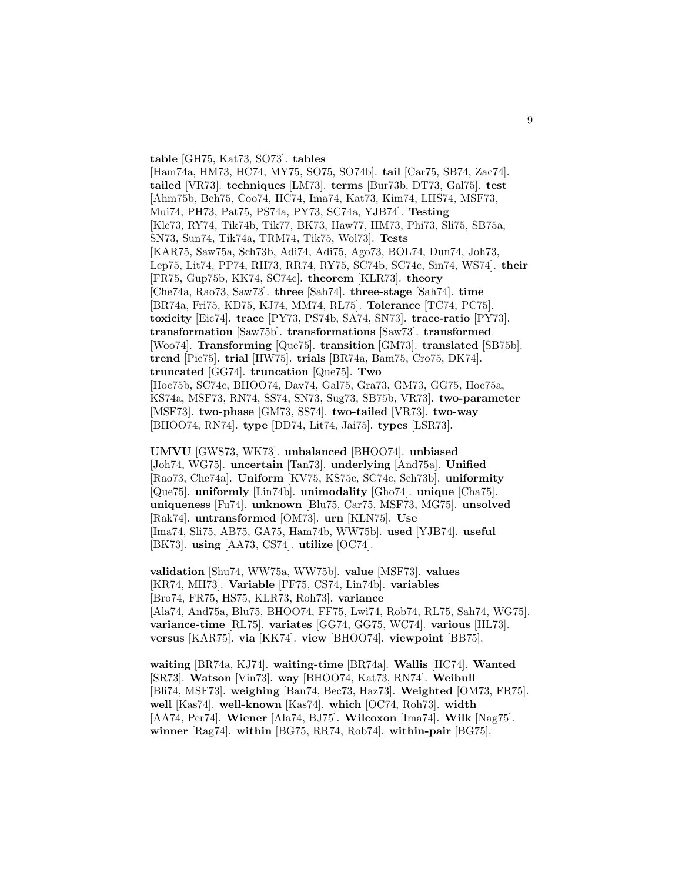**table** [GH75, Kat73, SO73]. **tables**

[Ham74a, HM73, HC74, MY75, SO75, SO74b]. **tail** [Car75, SB74, Zac74]. **tailed** [VR73]. **techniques** [LM73]. **terms** [Bur73b, DT73, Gal75]. **test** [Ahm75b, Beh75, Coo74, HC74, Ima74, Kat73, Kim74, LHS74, MSF73, Mui74, PH73, Pat75, PS74a, PY73, SC74a, YJB74]. **Testing** [Kle73, RY74, Tik74b, Tik77, BK73, Haw77, HM73, Phi73, Sli75, SB75a, SN73, Sun74, Tik74a, TRM74, Tik75, Wol73]. **Tests** [KAR75, Saw75a, Sch73b, Adi74, Adi75, Ago73, BOL74, Dun74, Joh73, Lep75, Lit74, PP74, RH73, RR74, RY75, SC74b, SC74c, Sin74, WS74]. **their** [FR75, Gup75b, KK74, SC74c]. **theorem** [KLR73]. **theory** [Che74a, Rao73, Saw73]. **three** [Sah74]. **three-stage** [Sah74]. **time** [BR74a, Fri75, KD75, KJ74, MM74, RL75]. **Tolerance** [TC74, PC75]. **toxicity** [Eic74]. **trace** [PY73, PS74b, SA74, SN73]. **trace-ratio** [PY73]. **transformation** [Saw75b]. **transformations** [Saw73]. **transformed** [Woo74]. **Transforming** [Que75]. **transition** [GM73]. **translated** [SB75b]. **trend** [Pie75]. **trial** [HW75]. **trials** [BR74a, Bam75, Cro75, DK74]. **truncated** [GG74]. **truncation** [Que75]. **Two** [Hoc75b, SC74c, BHOO74, Dav74, Gal75, Gra73, GM73, GG75, Hoc75a, KS74a, MSF73, RN74, SS74, SN73, Sug73, SB75b, VR73]. **two-parameter** [MSF73]. **two-phase** [GM73, SS74]. **two-tailed** [VR73]. **two-way** [BHOO74, RN74]. **type** [DD74, Lit74, Jai75]. **types** [LSR73].

**UMVU** [GWS73, WK73]. **unbalanced** [BHOO74]. **unbiased** [Joh74, WG75]. **uncertain** [Tan73]. **underlying** [And75a]. **Unified** [Rao73, Che74a]. **Uniform** [KV75, KS75c, SC74c, Sch73b]. **uniformity** [Que75]. **uniformly** [Lin74b]. **unimodality** [Gho74]. **unique** [Cha75]. **uniqueness** [Fu74]. **unknown** [Blu75, Car75, MSF73, MG75]. **unsolved** [Rak74]. **untransformed** [OM73]. **urn** [KLN75]. **Use** [Ima74, Sli75, AB75, GA75, Ham74b, WW75b]. **used** [YJB74]. **useful** [BK73]. **using** [AA73, CS74]. **utilize** [OC74].

**validation** [Shu74, WW75a, WW75b]. **value** [MSF73]. **values** [KR74, MH73]. **Variable** [FF75, CS74, Lin74b]. **variables** [Bro74, FR75, HS75, KLR73, Roh73]. **variance** [Ala74, And75a, Blu75, BHOO74, FF75, Lwi74, Rob74, RL75, Sah74, WG75]. **variance-time** [RL75]. **variates** [GG74, GG75, WC74]. **various** [HL73]. **versus** [KAR75]. **via** [KK74]. **view** [BHOO74]. **viewpoint** [BB75].

**waiting** [BR74a, KJ74]. **waiting-time** [BR74a]. **Wallis** [HC74]. **Wanted** [SR73]. **Watson** [Vin73]. **way** [BHOO74, Kat73, RN74]. **Weibull** [Bli74, MSF73]. **weighing** [Ban74, Bec73, Haz73]. **Weighted** [OM73, FR75]. **well** [Kas74]. **well-known** [Kas74]. **which** [OC74, Roh73]. **width** [AA74, Per74]. **Wiener** [Ala74, BJ75]. **Wilcoxon** [Ima74]. **Wilk** [Nag75]. **winner** [Rag74]. **within** [BG75, RR74, Rob74]. **within-pair** [BG75].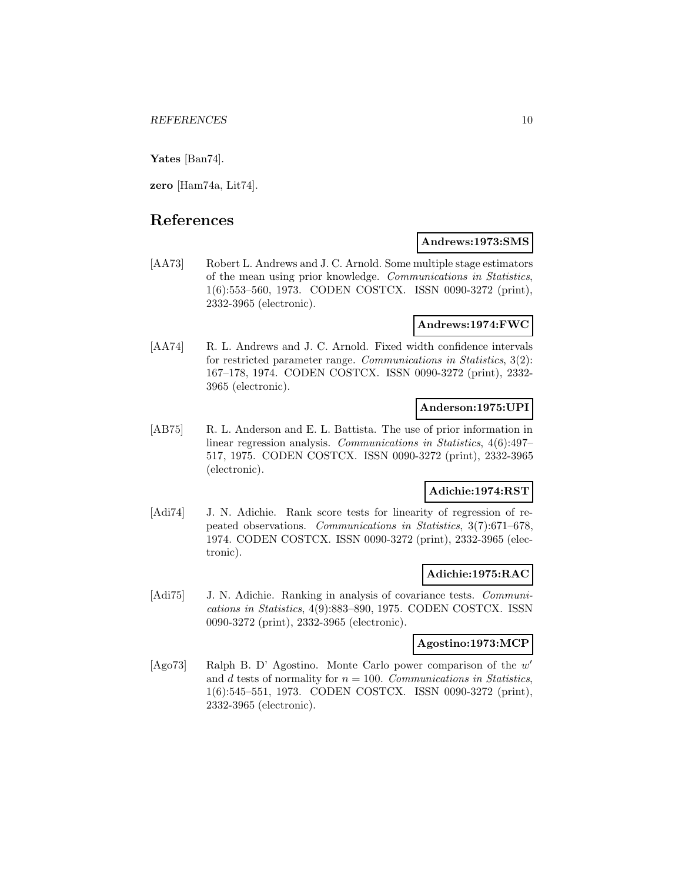**Yates** [Ban74].

**zero** [Ham74a, Lit74].

# **References**

[AA73] Robert L. Andrews and J. C. Arnold. Some multiple stage estimators of the mean using prior knowledge. Communications in Statistics, 1(6):553–560, 1973. CODEN COSTCX. ISSN 0090-3272 (print), 2332-3965 (electronic).

#### **Andrews:1974:FWC**

**Andrews:1973:SMS**

[AA74] R. L. Andrews and J. C. Arnold. Fixed width confidence intervals for restricted parameter range. Communications in Statistics, 3(2): 167–178, 1974. CODEN COSTCX. ISSN 0090-3272 (print), 2332- 3965 (electronic).

### **Anderson:1975:UPI**

[AB75] R. L. Anderson and E. L. Battista. The use of prior information in linear regression analysis. Communications in Statistics, 4(6):497– 517, 1975. CODEN COSTCX. ISSN 0090-3272 (print), 2332-3965 (electronic).

### **Adichie:1974:RST**

[Adi74] J. N. Adichie. Rank score tests for linearity of regression of repeated observations. Communications in Statistics, 3(7):671–678, 1974. CODEN COSTCX. ISSN 0090-3272 (print), 2332-3965 (electronic).

### **Adichie:1975:RAC**

[Adi75] J. N. Adichie. Ranking in analysis of covariance tests. Communications in Statistics, 4(9):883–890, 1975. CODEN COSTCX. ISSN 0090-3272 (print), 2332-3965 (electronic).

# **Agostino:1973:MCP**

[Ago73] Ralph B. D' Agostino. Monte Carlo power comparison of the  $w'$ and d tests of normality for  $n = 100$ . Communications in Statistics, 1(6):545–551, 1973. CODEN COSTCX. ISSN 0090-3272 (print), 2332-3965 (electronic).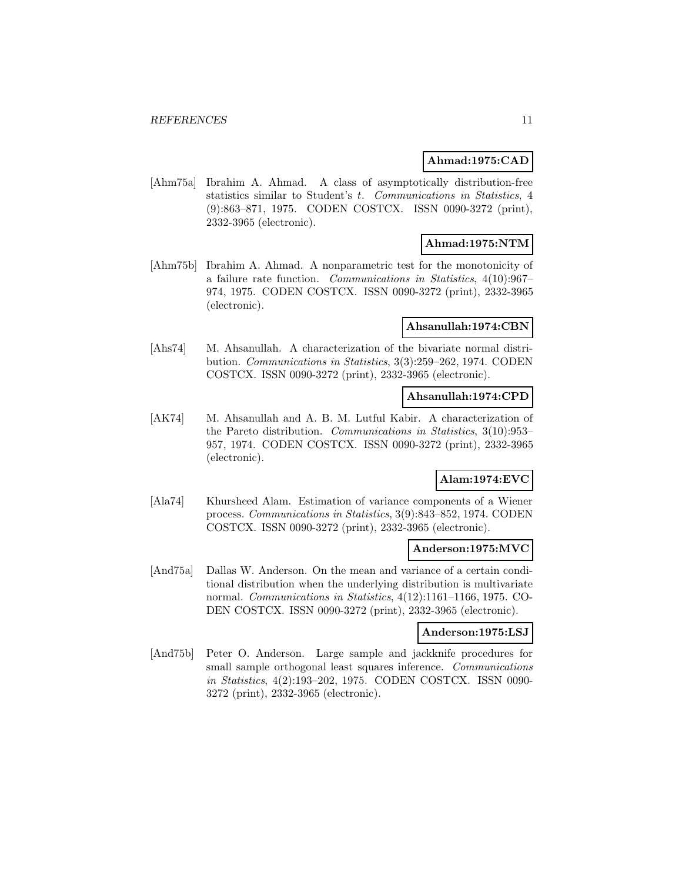### **Ahmad:1975:CAD**

[Ahm75a] Ibrahim A. Ahmad. A class of asymptotically distribution-free statistics similar to Student's t. Communications in Statistics, 4 (9):863–871, 1975. CODEN COSTCX. ISSN 0090-3272 (print), 2332-3965 (electronic).

### **Ahmad:1975:NTM**

[Ahm75b] Ibrahim A. Ahmad. A nonparametric test for the monotonicity of a failure rate function. Communications in Statistics, 4(10):967– 974, 1975. CODEN COSTCX. ISSN 0090-3272 (print), 2332-3965 (electronic).

#### **Ahsanullah:1974:CBN**

[Ahs74] M. Ahsanullah. A characterization of the bivariate normal distribution. Communications in Statistics, 3(3):259–262, 1974. CODEN COSTCX. ISSN 0090-3272 (print), 2332-3965 (electronic).

#### **Ahsanullah:1974:CPD**

[AK74] M. Ahsanullah and A. B. M. Lutful Kabir. A characterization of the Pareto distribution. Communications in Statistics, 3(10):953– 957, 1974. CODEN COSTCX. ISSN 0090-3272 (print), 2332-3965 (electronic).

# **Alam:1974:EVC**

[Ala74] Khursheed Alam. Estimation of variance components of a Wiener process. Communications in Statistics, 3(9):843–852, 1974. CODEN COSTCX. ISSN 0090-3272 (print), 2332-3965 (electronic).

#### **Anderson:1975:MVC**

[And75a] Dallas W. Anderson. On the mean and variance of a certain conditional distribution when the underlying distribution is multivariate normal. Communications in Statistics, 4(12):1161–1166, 1975. CO-DEN COSTCX. ISSN 0090-3272 (print), 2332-3965 (electronic).

### **Anderson:1975:LSJ**

[And75b] Peter O. Anderson. Large sample and jackknife procedures for small sample orthogonal least squares inference. *Communications* in Statistics, 4(2):193–202, 1975. CODEN COSTCX. ISSN 0090- 3272 (print), 2332-3965 (electronic).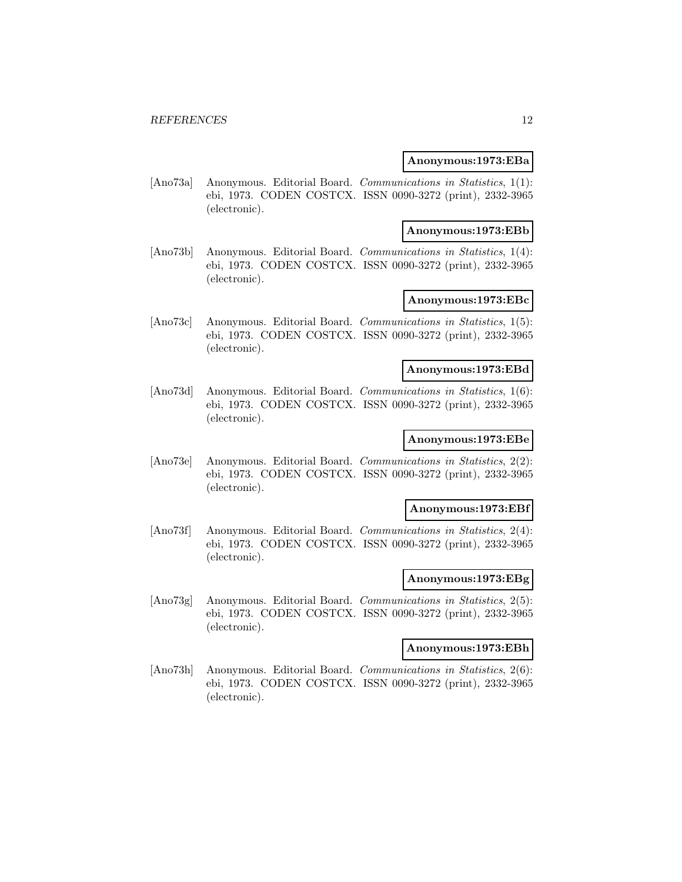#### **Anonymous:1973:EBa**

[Ano73a] Anonymous. Editorial Board. Communications in Statistics, 1(1): ebi, 1973. CODEN COSTCX. ISSN 0090-3272 (print), 2332-3965 (electronic).

#### **Anonymous:1973:EBb**

[Ano73b] Anonymous. Editorial Board. Communications in Statistics, 1(4): ebi, 1973. CODEN COSTCX. ISSN 0090-3272 (print), 2332-3965 (electronic).

# **Anonymous:1973:EBc**

[Ano73c] Anonymous. Editorial Board. Communications in Statistics, 1(5): ebi, 1973. CODEN COSTCX. ISSN 0090-3272 (print), 2332-3965 (electronic).

#### **Anonymous:1973:EBd**

[Ano73d] Anonymous. Editorial Board. Communications in Statistics, 1(6): ebi, 1973. CODEN COSTCX. ISSN 0090-3272 (print), 2332-3965 (electronic).

# **Anonymous:1973:EBe**

[Ano73e] Anonymous. Editorial Board. Communications in Statistics, 2(2): ebi, 1973. CODEN COSTCX. ISSN 0090-3272 (print), 2332-3965 (electronic).

#### **Anonymous:1973:EBf**

[Ano73f] Anonymous. Editorial Board. Communications in Statistics, 2(4): ebi, 1973. CODEN COSTCX. ISSN 0090-3272 (print), 2332-3965 (electronic).

#### **Anonymous:1973:EBg**

[Ano73g] Anonymous. Editorial Board. Communications in Statistics, 2(5): ebi, 1973. CODEN COSTCX. ISSN 0090-3272 (print), 2332-3965 (electronic).

### **Anonymous:1973:EBh**

[Ano73h] Anonymous. Editorial Board. Communications in Statistics, 2(6): ebi, 1973. CODEN COSTCX. ISSN 0090-3272 (print), 2332-3965 (electronic).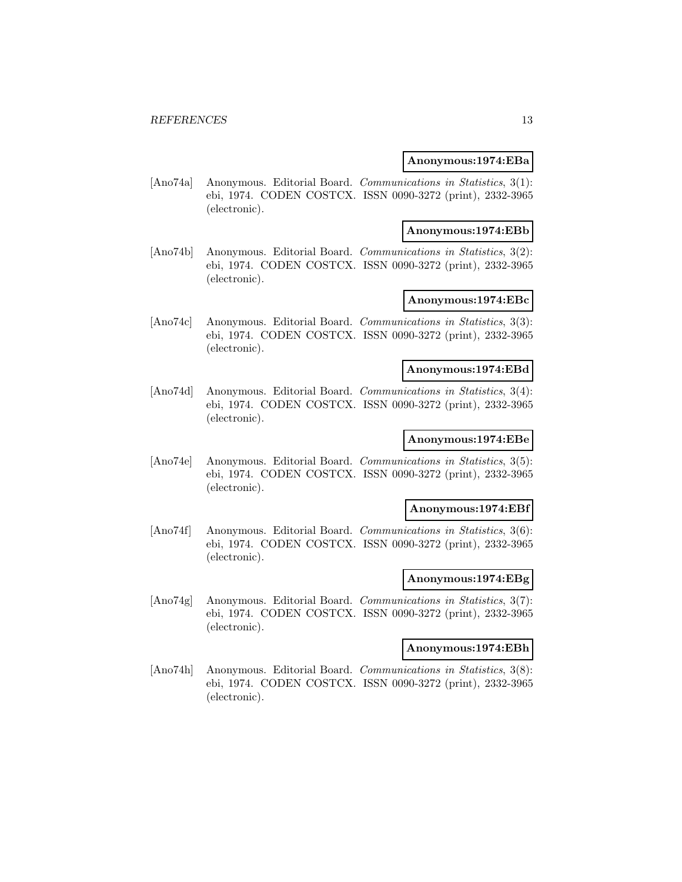#### **Anonymous:1974:EBa**

[Ano74a] Anonymous. Editorial Board. Communications in Statistics, 3(1): ebi, 1974. CODEN COSTCX. ISSN 0090-3272 (print), 2332-3965 (electronic).

#### **Anonymous:1974:EBb**

[Ano74b] Anonymous. Editorial Board. Communications in Statistics, 3(2): ebi, 1974. CODEN COSTCX. ISSN 0090-3272 (print), 2332-3965 (electronic).

# **Anonymous:1974:EBc**

[Ano74c] Anonymous. Editorial Board. Communications in Statistics, 3(3): ebi, 1974. CODEN COSTCX. ISSN 0090-3272 (print), 2332-3965 (electronic).

#### **Anonymous:1974:EBd**

[Ano74d] Anonymous. Editorial Board. Communications in Statistics, 3(4): ebi, 1974. CODEN COSTCX. ISSN 0090-3272 (print), 2332-3965 (electronic).

# **Anonymous:1974:EBe**

[Ano74e] Anonymous. Editorial Board. Communications in Statistics, 3(5): ebi, 1974. CODEN COSTCX. ISSN 0090-3272 (print), 2332-3965 (electronic).

#### **Anonymous:1974:EBf**

[Ano74f] Anonymous. Editorial Board. Communications in Statistics, 3(6): ebi, 1974. CODEN COSTCX. ISSN 0090-3272 (print), 2332-3965 (electronic).

#### **Anonymous:1974:EBg**

[Ano74g] Anonymous. Editorial Board. Communications in Statistics, 3(7): ebi, 1974. CODEN COSTCX. ISSN 0090-3272 (print), 2332-3965 (electronic).

### **Anonymous:1974:EBh**

[Ano74h] Anonymous. Editorial Board. Communications in Statistics, 3(8): ebi, 1974. CODEN COSTCX. ISSN 0090-3272 (print), 2332-3965 (electronic).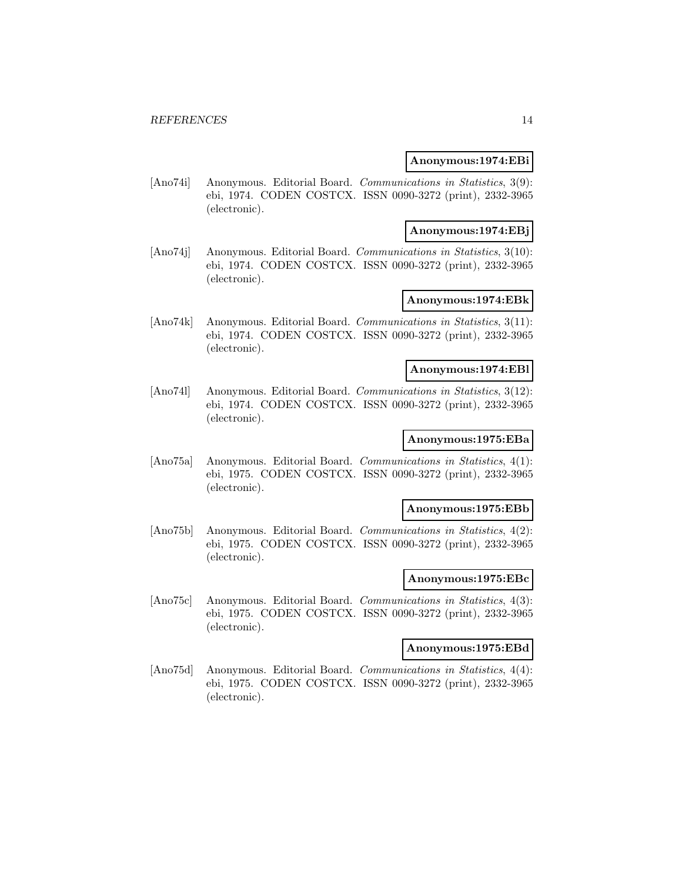#### **Anonymous:1974:EBi**

[Ano74i] Anonymous. Editorial Board. Communications in Statistics, 3(9): ebi, 1974. CODEN COSTCX. ISSN 0090-3272 (print), 2332-3965 (electronic).

#### **Anonymous:1974:EBj**

[Ano74j] Anonymous. Editorial Board. Communications in Statistics, 3(10): ebi, 1974. CODEN COSTCX. ISSN 0090-3272 (print), 2332-3965 (electronic).

### **Anonymous:1974:EBk**

[Ano74k] Anonymous. Editorial Board. Communications in Statistics, 3(11): ebi, 1974. CODEN COSTCX. ISSN 0090-3272 (print), 2332-3965 (electronic).

#### **Anonymous:1974:EBl**

[Ano741] Anonymous. Editorial Board. Communications in Statistics, 3(12): ebi, 1974. CODEN COSTCX. ISSN 0090-3272 (print), 2332-3965 (electronic).

# **Anonymous:1975:EBa**

[Ano75a] Anonymous. Editorial Board. Communications in Statistics, 4(1): ebi, 1975. CODEN COSTCX. ISSN 0090-3272 (print), 2332-3965 (electronic).

#### **Anonymous:1975:EBb**

[Ano75b] Anonymous. Editorial Board. Communications in Statistics, 4(2): ebi, 1975. CODEN COSTCX. ISSN 0090-3272 (print), 2332-3965 (electronic).

#### **Anonymous:1975:EBc**

[Ano75c] Anonymous. Editorial Board. Communications in Statistics, 4(3): ebi, 1975. CODEN COSTCX. ISSN 0090-3272 (print), 2332-3965 (electronic).

### **Anonymous:1975:EBd**

[Ano75d] Anonymous. Editorial Board. Communications in Statistics, 4(4): ebi, 1975. CODEN COSTCX. ISSN 0090-3272 (print), 2332-3965 (electronic).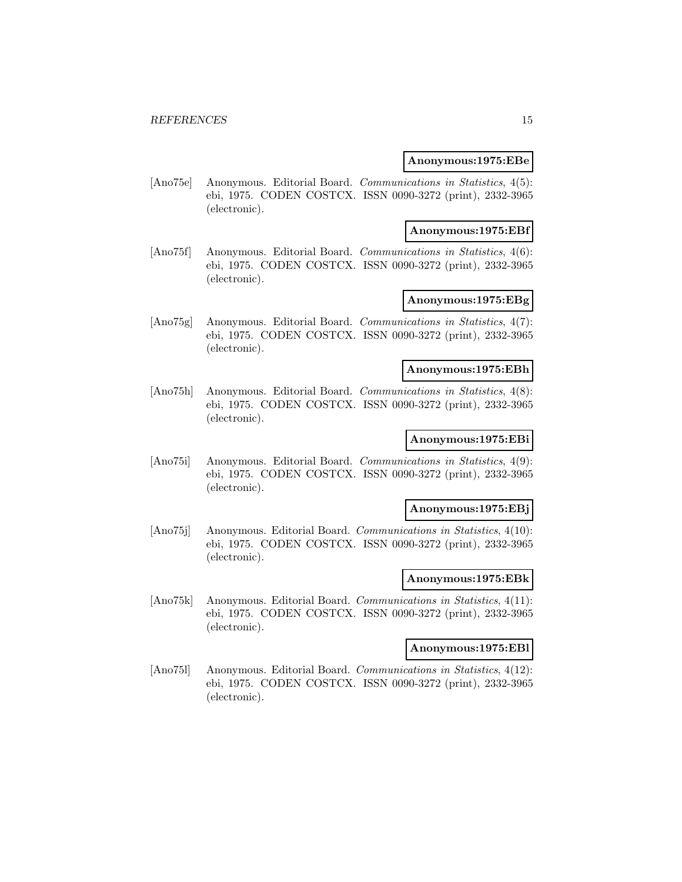#### **Anonymous:1975:EBe**

[Ano75e] Anonymous. Editorial Board. Communications in Statistics, 4(5): ebi, 1975. CODEN COSTCX. ISSN 0090-3272 (print), 2332-3965 (electronic).

#### **Anonymous:1975:EBf**

[Ano75f] Anonymous. Editorial Board. Communications in Statistics, 4(6): ebi, 1975. CODEN COSTCX. ISSN 0090-3272 (print), 2332-3965 (electronic).

### **Anonymous:1975:EBg**

[Ano75g] Anonymous. Editorial Board. Communications in Statistics, 4(7): ebi, 1975. CODEN COSTCX. ISSN 0090-3272 (print), 2332-3965 (electronic).

#### **Anonymous:1975:EBh**

[Ano75h] Anonymous. Editorial Board. Communications in Statistics, 4(8): ebi, 1975. CODEN COSTCX. ISSN 0090-3272 (print), 2332-3965 (electronic).

# **Anonymous:1975:EBi**

[Ano75i] Anonymous. Editorial Board. Communications in Statistics, 4(9): ebi, 1975. CODEN COSTCX. ISSN 0090-3272 (print), 2332-3965 (electronic).

#### **Anonymous:1975:EBj**

[Ano75j] Anonymous. Editorial Board. Communications in Statistics, 4(10): ebi, 1975. CODEN COSTCX. ISSN 0090-3272 (print), 2332-3965 (electronic).

#### **Anonymous:1975:EBk**

[Ano75k] Anonymous. Editorial Board. Communications in Statistics, 4(11): ebi, 1975. CODEN COSTCX. ISSN 0090-3272 (print), 2332-3965 (electronic).

### **Anonymous:1975:EBl**

[Ano75l] Anonymous. Editorial Board. Communications in Statistics, 4(12): ebi, 1975. CODEN COSTCX. ISSN 0090-3272 (print), 2332-3965 (electronic).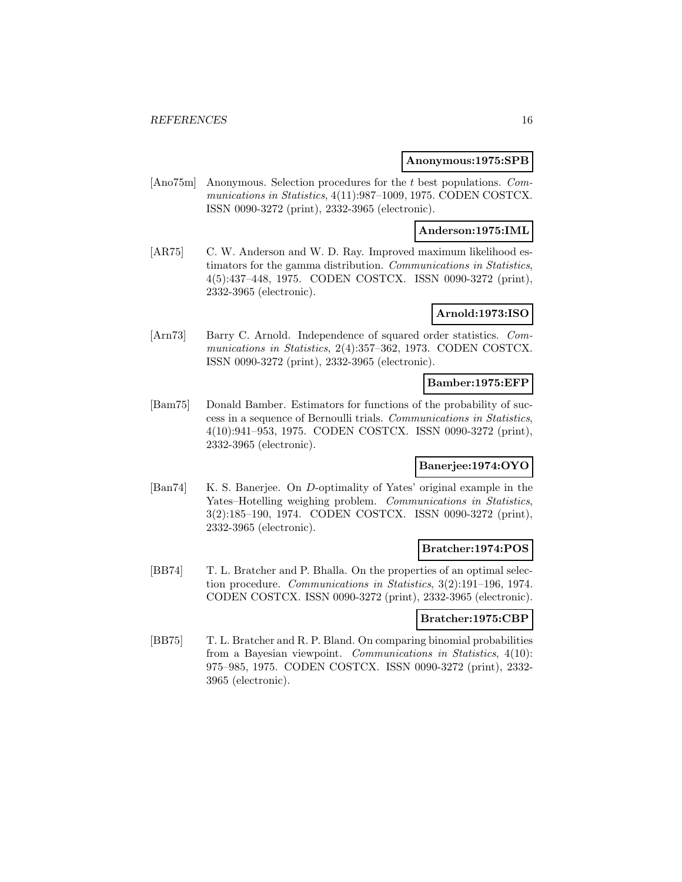### **Anonymous:1975:SPB**

[Ano75m] Anonymous. Selection procedures for the t best populations. Communications in Statistics, 4(11):987–1009, 1975. CODEN COSTCX. ISSN 0090-3272 (print), 2332-3965 (electronic).

# **Anderson:1975:IML**

[AR75] C. W. Anderson and W. D. Ray. Improved maximum likelihood estimators for the gamma distribution. Communications in Statistics, 4(5):437–448, 1975. CODEN COSTCX. ISSN 0090-3272 (print), 2332-3965 (electronic).

# **Arnold:1973:ISO**

[Arn73] Barry C. Arnold. Independence of squared order statistics. Communications in Statistics, 2(4):357–362, 1973. CODEN COSTCX. ISSN 0090-3272 (print), 2332-3965 (electronic).

#### **Bamber:1975:EFP**

[Bam75] Donald Bamber. Estimators for functions of the probability of success in a sequence of Bernoulli trials. Communications in Statistics, 4(10):941–953, 1975. CODEN COSTCX. ISSN 0090-3272 (print), 2332-3965 (electronic).

# **Banerjee:1974:OYO**

[Ban74] K. S. Banerjee. On D-optimality of Yates' original example in the Yates–Hotelling weighing problem. Communications in Statistics, 3(2):185–190, 1974. CODEN COSTCX. ISSN 0090-3272 (print), 2332-3965 (electronic).

#### **Bratcher:1974:POS**

[BB74] T. L. Bratcher and P. Bhalla. On the properties of an optimal selection procedure. Communications in Statistics, 3(2):191–196, 1974. CODEN COSTCX. ISSN 0090-3272 (print), 2332-3965 (electronic).

#### **Bratcher:1975:CBP**

[BB75] T. L. Bratcher and R. P. Bland. On comparing binomial probabilities from a Bayesian viewpoint. Communications in Statistics, 4(10): 975–985, 1975. CODEN COSTCX. ISSN 0090-3272 (print), 2332- 3965 (electronic).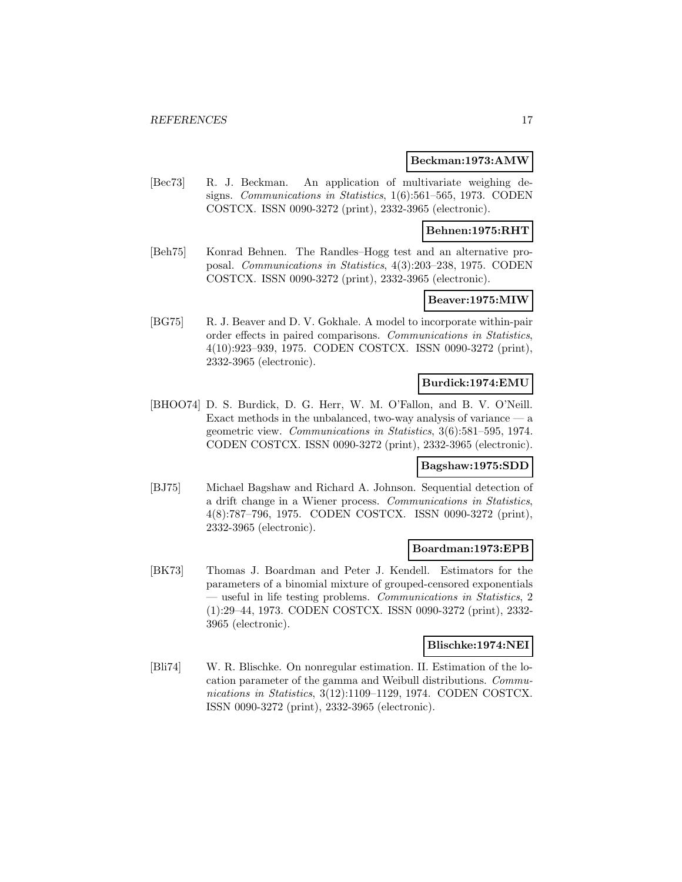#### **Beckman:1973:AMW**

[Bec73] R. J. Beckman. An application of multivariate weighing designs. Communications in Statistics, 1(6):561–565, 1973. CODEN COSTCX. ISSN 0090-3272 (print), 2332-3965 (electronic).

### **Behnen:1975:RHT**

[Beh75] Konrad Behnen. The Randles–Hogg test and an alternative proposal. Communications in Statistics, 4(3):203–238, 1975. CODEN COSTCX. ISSN 0090-3272 (print), 2332-3965 (electronic).

### **Beaver:1975:MIW**

[BG75] R. J. Beaver and D. V. Gokhale. A model to incorporate within-pair order effects in paired comparisons. Communications in Statistics, 4(10):923–939, 1975. CODEN COSTCX. ISSN 0090-3272 (print), 2332-3965 (electronic).

### **Burdick:1974:EMU**

[BHOO74] D. S. Burdick, D. G. Herr, W. M. O'Fallon, and B. V. O'Neill. Exact methods in the unbalanced, two-way analysis of variance  $-$  a geometric view. Communications in Statistics, 3(6):581–595, 1974. CODEN COSTCX. ISSN 0090-3272 (print), 2332-3965 (electronic).

#### **Bagshaw:1975:SDD**

[BJ75] Michael Bagshaw and Richard A. Johnson. Sequential detection of a drift change in a Wiener process. Communications in Statistics, 4(8):787–796, 1975. CODEN COSTCX. ISSN 0090-3272 (print), 2332-3965 (electronic).

#### **Boardman:1973:EPB**

[BK73] Thomas J. Boardman and Peter J. Kendell. Estimators for the parameters of a binomial mixture of grouped-censored exponentials — useful in life testing problems. Communications in Statistics, 2 (1):29–44, 1973. CODEN COSTCX. ISSN 0090-3272 (print), 2332- 3965 (electronic).

#### **Blischke:1974:NEI**

[Bli74] W. R. Blischke. On nonregular estimation. II. Estimation of the location parameter of the gamma and Weibull distributions. Communications in Statistics, 3(12):1109-1129, 1974. CODEN COSTCX. ISSN 0090-3272 (print), 2332-3965 (electronic).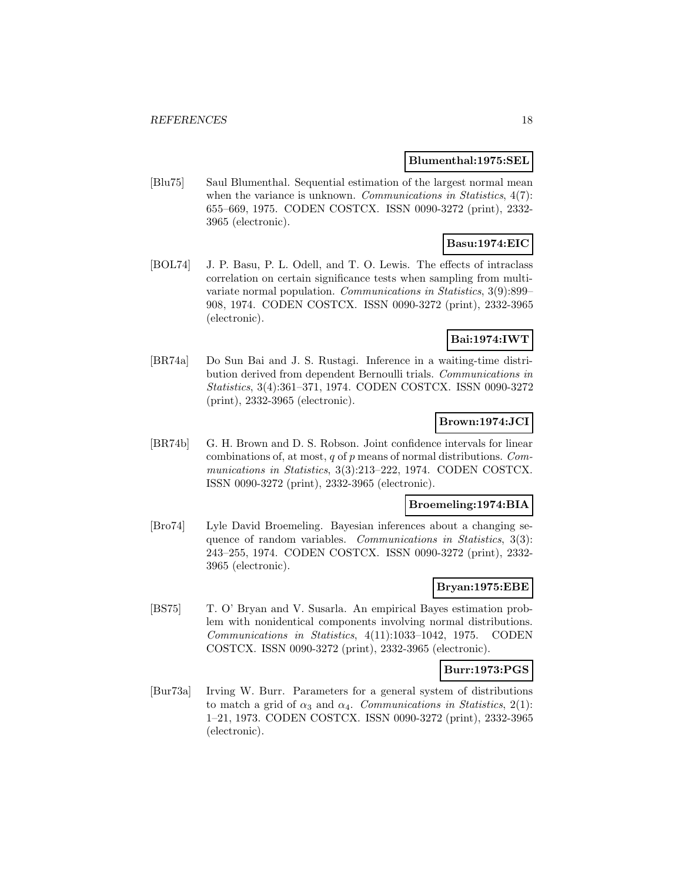### **Blumenthal:1975:SEL**

[Blu75] Saul Blumenthal. Sequential estimation of the largest normal mean when the variance is unknown. *Communications in Statistics*,  $4(7)$ : 655–669, 1975. CODEN COSTCX. ISSN 0090-3272 (print), 2332- 3965 (electronic).

# **Basu:1974:EIC**

[BOL74] J. P. Basu, P. L. Odell, and T. O. Lewis. The effects of intraclass correlation on certain significance tests when sampling from multivariate normal population. Communications in Statistics, 3(9):899– 908, 1974. CODEN COSTCX. ISSN 0090-3272 (print), 2332-3965 (electronic).

# **Bai:1974:IWT**

[BR74a] Do Sun Bai and J. S. Rustagi. Inference in a waiting-time distribution derived from dependent Bernoulli trials. Communications in Statistics, 3(4):361–371, 1974. CODEN COSTCX. ISSN 0090-3272 (print), 2332-3965 (electronic).

# **Brown:1974:JCI**

[BR74b] G. H. Brown and D. S. Robson. Joint confidence intervals for linear combinations of, at most,  $q$  of  $p$  means of normal distributions. Communications in Statistics, 3(3):213–222, 1974. CODEN COSTCX. ISSN 0090-3272 (print), 2332-3965 (electronic).

#### **Broemeling:1974:BIA**

[Bro74] Lyle David Broemeling. Bayesian inferences about a changing sequence of random variables. Communications in Statistics, 3(3): 243–255, 1974. CODEN COSTCX. ISSN 0090-3272 (print), 2332- 3965 (electronic).

# **Bryan:1975:EBE**

[BS75] T. O' Bryan and V. Susarla. An empirical Bayes estimation problem with nonidentical components involving normal distributions. Communications in Statistics, 4(11):1033–1042, 1975. CODEN COSTCX. ISSN 0090-3272 (print), 2332-3965 (electronic).

# **Burr:1973:PGS**

[Bur73a] Irving W. Burr. Parameters for a general system of distributions to match a grid of  $\alpha_3$  and  $\alpha_4$ . Communications in Statistics, 2(1): 1–21, 1973. CODEN COSTCX. ISSN 0090-3272 (print), 2332-3965 (electronic).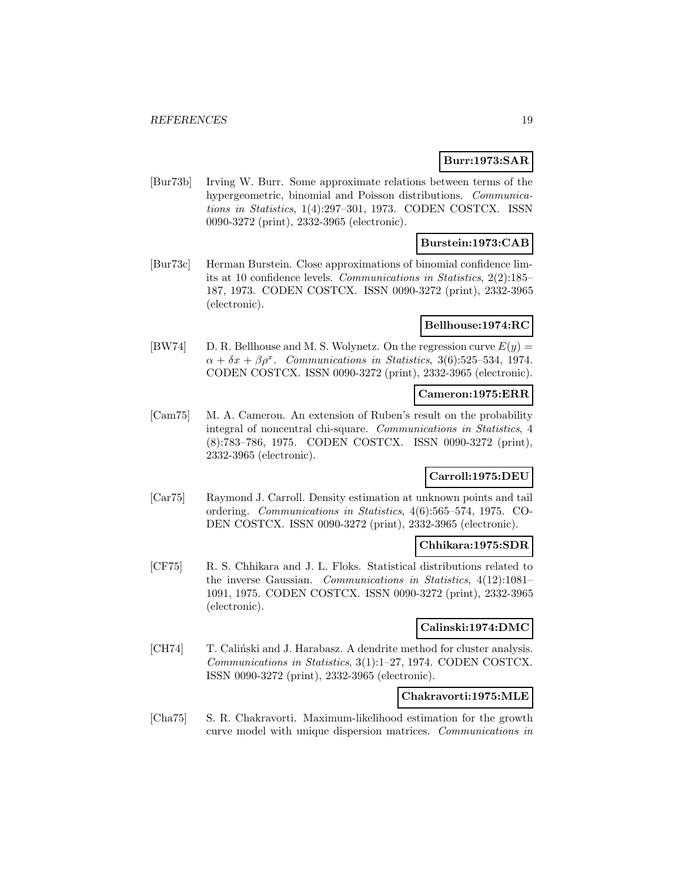# **Burr:1973:SAR**

[Bur73b] Irving W. Burr. Some approximate relations between terms of the hypergeometric, binomial and Poisson distributions. Communications in Statistics, 1(4):297–301, 1973. CODEN COSTCX. ISSN 0090-3272 (print), 2332-3965 (electronic).

# **Burstein:1973:CAB**

[Bur73c] Herman Burstein. Close approximations of binomial confidence limits at 10 confidence levels. Communications in Statistics, 2(2):185– 187, 1973. CODEN COSTCX. ISSN 0090-3272 (print), 2332-3965 (electronic).

### **Bellhouse:1974:RC**

[BW74] D. R. Bellhouse and M. S. Wolynetz. On the regression curve  $E(y) =$  $\alpha + \delta x + \beta \rho^x$ . Communications in Statistics, 3(6):525–534, 1974. CODEN COSTCX. ISSN 0090-3272 (print), 2332-3965 (electronic).

# **Cameron:1975:ERR**

[Cam75] M. A. Cameron. An extension of Ruben's result on the probability integral of noncentral chi-square. Communications in Statistics, 4 (8):783–786, 1975. CODEN COSTCX. ISSN 0090-3272 (print), 2332-3965 (electronic).

# **Carroll:1975:DEU**

[Car75] Raymond J. Carroll. Density estimation at unknown points and tail ordering. Communications in Statistics, 4(6):565–574, 1975. CO-DEN COSTCX. ISSN 0090-3272 (print), 2332-3965 (electronic).

### **Chhikara:1975:SDR**

[CF75] R. S. Chhikara and J. L. Floks. Statistical distributions related to the inverse Gaussian. Communications in Statistics, 4(12):1081– 1091, 1975. CODEN COSTCX. ISSN 0090-3272 (print), 2332-3965 (electronic).

# **Calinski:1974:DMC**

[CH74] T. Calinski and J. Harabasz. A dendrite method for cluster analysis. Communications in Statistics, 3(1):1–27, 1974. CODEN COSTCX. ISSN 0090-3272 (print), 2332-3965 (electronic).

# **Chakravorti:1975:MLE**

[Cha75] S. R. Chakravorti. Maximum-likelihood estimation for the growth curve model with unique dispersion matrices. Communications in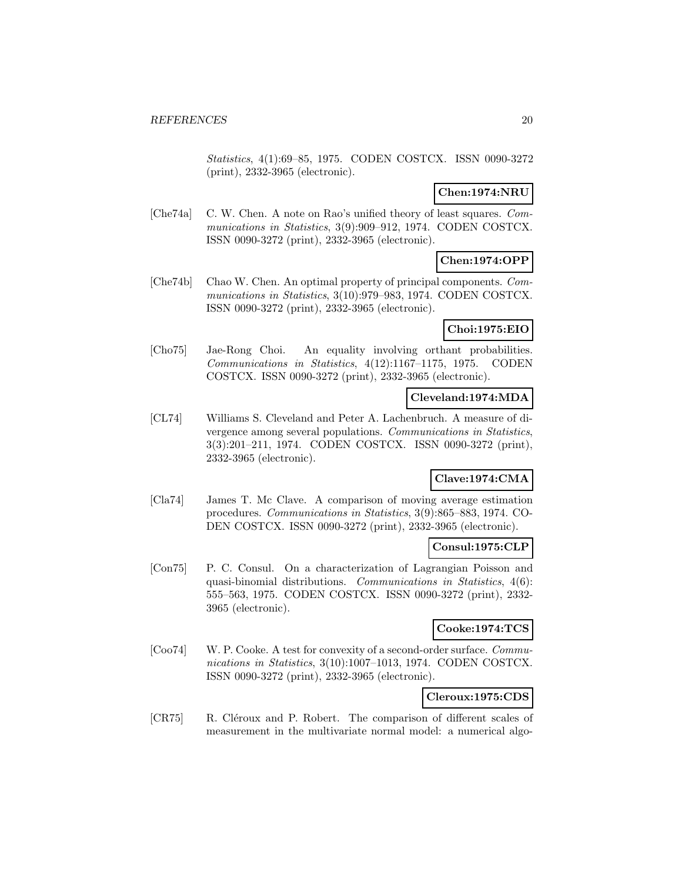Statistics, 4(1):69–85, 1975. CODEN COSTCX. ISSN 0090-3272 (print), 2332-3965 (electronic).

# **Chen:1974:NRU**

[Che74a] C. W. Chen. A note on Rao's unified theory of least squares. Communications in Statistics, 3(9):909–912, 1974. CODEN COSTCX. ISSN 0090-3272 (print), 2332-3965 (electronic).

# **Chen:1974:OPP**

[Che74b] Chao W. Chen. An optimal property of principal components. Communications in Statistics, 3(10):979–983, 1974. CODEN COSTCX. ISSN 0090-3272 (print), 2332-3965 (electronic).

# **Choi:1975:EIO**

[Cho75] Jae-Rong Choi. An equality involving orthant probabilities. Communications in Statistics, 4(12):1167–1175, 1975. CODEN COSTCX. ISSN 0090-3272 (print), 2332-3965 (electronic).

### **Cleveland:1974:MDA**

[CL74] Williams S. Cleveland and Peter A. Lachenbruch. A measure of divergence among several populations. Communications in Statistics, 3(3):201–211, 1974. CODEN COSTCX. ISSN 0090-3272 (print), 2332-3965 (electronic).

# **Clave:1974:CMA**

[Cla74] James T. Mc Clave. A comparison of moving average estimation procedures. Communications in Statistics, 3(9):865–883, 1974. CO-DEN COSTCX. ISSN 0090-3272 (print), 2332-3965 (electronic).

#### **Consul:1975:CLP**

[Con75] P. C. Consul. On a characterization of Lagrangian Poisson and quasi-binomial distributions. Communications in Statistics, 4(6): 555–563, 1975. CODEN COSTCX. ISSN 0090-3272 (print), 2332- 3965 (electronic).

# **Cooke:1974:TCS**

[Coo74] W. P. Cooke. A test for convexity of a second-order surface. Communications in Statistics, 3(10):1007-1013, 1974. CODEN COSTCX. ISSN 0090-3272 (print), 2332-3965 (electronic).

# **Cleroux:1975:CDS**

[CR75] R. Cléroux and P. Robert. The comparison of different scales of measurement in the multivariate normal model: a numerical algo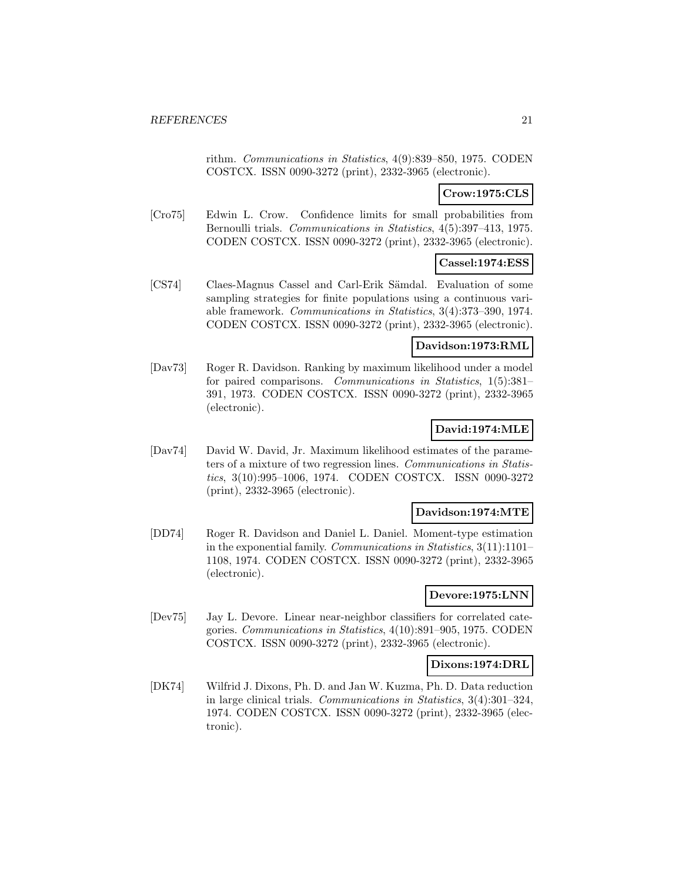rithm. Communications in Statistics, 4(9):839–850, 1975. CODEN COSTCX. ISSN 0090-3272 (print), 2332-3965 (electronic).

# **Crow:1975:CLS**

[Cro75] Edwin L. Crow. Confidence limits for small probabilities from Bernoulli trials. Communications in Statistics, 4(5):397–413, 1975. CODEN COSTCX. ISSN 0090-3272 (print), 2332-3965 (electronic).

# **Cassel:1974:ESS**

[CS74] Claes-Magnus Cassel and Carl-Erik Sämdal. Evaluation of some sampling strategies for finite populations using a continuous variable framework. Communications in Statistics, 3(4):373–390, 1974. CODEN COSTCX. ISSN 0090-3272 (print), 2332-3965 (electronic).

#### **Davidson:1973:RML**

[Dav73] Roger R. Davidson. Ranking by maximum likelihood under a model for paired comparisons. Communications in Statistics, 1(5):381– 391, 1973. CODEN COSTCX. ISSN 0090-3272 (print), 2332-3965 (electronic).

# **David:1974:MLE**

[Dav74] David W. David, Jr. Maximum likelihood estimates of the parameters of a mixture of two regression lines. Communications in Statistics, 3(10):995–1006, 1974. CODEN COSTCX. ISSN 0090-3272 (print), 2332-3965 (electronic).

### **Davidson:1974:MTE**

[DD74] Roger R. Davidson and Daniel L. Daniel. Moment-type estimation in the exponential family. Communications in Statistics, 3(11):1101– 1108, 1974. CODEN COSTCX. ISSN 0090-3272 (print), 2332-3965 (electronic).

#### **Devore:1975:LNN**

[Dev75] Jay L. Devore. Linear near-neighbor classifiers for correlated categories. Communications in Statistics, 4(10):891–905, 1975. CODEN COSTCX. ISSN 0090-3272 (print), 2332-3965 (electronic).

#### **Dixons:1974:DRL**

[DK74] Wilfrid J. Dixons, Ph. D. and Jan W. Kuzma, Ph. D. Data reduction in large clinical trials. Communications in Statistics, 3(4):301–324, 1974. CODEN COSTCX. ISSN 0090-3272 (print), 2332-3965 (electronic).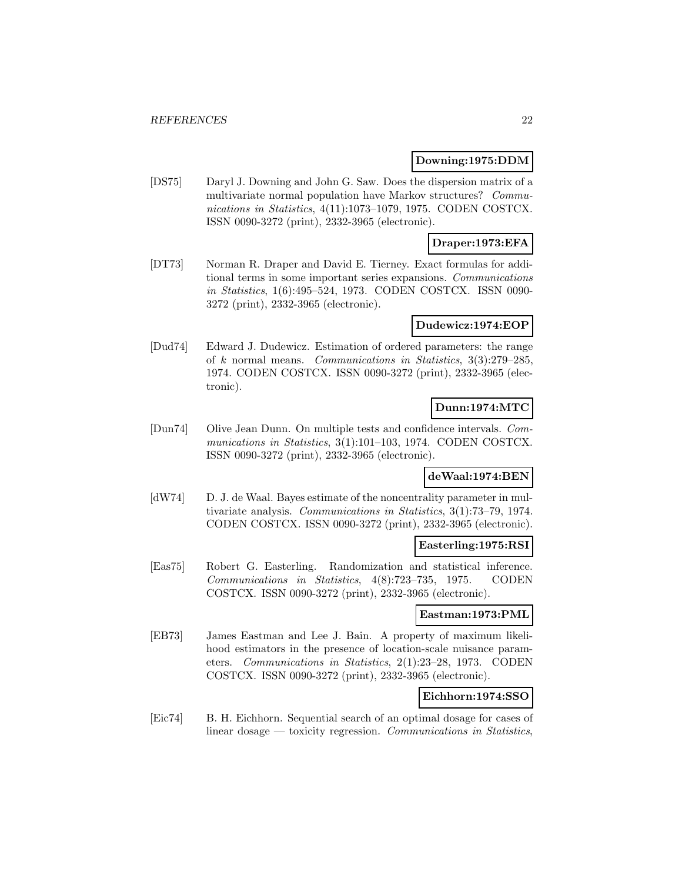### **Downing:1975:DDM**

[DS75] Daryl J. Downing and John G. Saw. Does the dispersion matrix of a multivariate normal population have Markov structures? Communications in Statistics, 4(11):1073–1079, 1975. CODEN COSTCX. ISSN 0090-3272 (print), 2332-3965 (electronic).

# **Draper:1973:EFA**

[DT73] Norman R. Draper and David E. Tierney. Exact formulas for additional terms in some important series expansions. Communications in Statistics, 1(6):495–524, 1973. CODEN COSTCX. ISSN 0090- 3272 (print), 2332-3965 (electronic).

#### **Dudewicz:1974:EOP**

[Dud74] Edward J. Dudewicz. Estimation of ordered parameters: the range of k normal means. Communications in Statistics, 3(3):279–285, 1974. CODEN COSTCX. ISSN 0090-3272 (print), 2332-3965 (electronic).

# **Dunn:1974:MTC**

[Dun74] Olive Jean Dunn. On multiple tests and confidence intervals. Communications in Statistics, 3(1):101–103, 1974. CODEN COSTCX. ISSN 0090-3272 (print), 2332-3965 (electronic).

# **deWaal:1974:BEN**

[dW74] D. J. de Waal. Bayes estimate of the noncentrality parameter in multivariate analysis. Communications in Statistics, 3(1):73–79, 1974. CODEN COSTCX. ISSN 0090-3272 (print), 2332-3965 (electronic).

#### **Easterling:1975:RSI**

[Eas75] Robert G. Easterling. Randomization and statistical inference. Communications in Statistics, 4(8):723–735, 1975. CODEN COSTCX. ISSN 0090-3272 (print), 2332-3965 (electronic).

#### **Eastman:1973:PML**

[EB73] James Eastman and Lee J. Bain. A property of maximum likelihood estimators in the presence of location-scale nuisance parameters. Communications in Statistics, 2(1):23–28, 1973. CODEN COSTCX. ISSN 0090-3272 (print), 2332-3965 (electronic).

# **Eichhorn:1974:SSO**

[Eic74] B. H. Eichhorn. Sequential search of an optimal dosage for cases of linear dosage — toxicity regression. Communications in Statistics,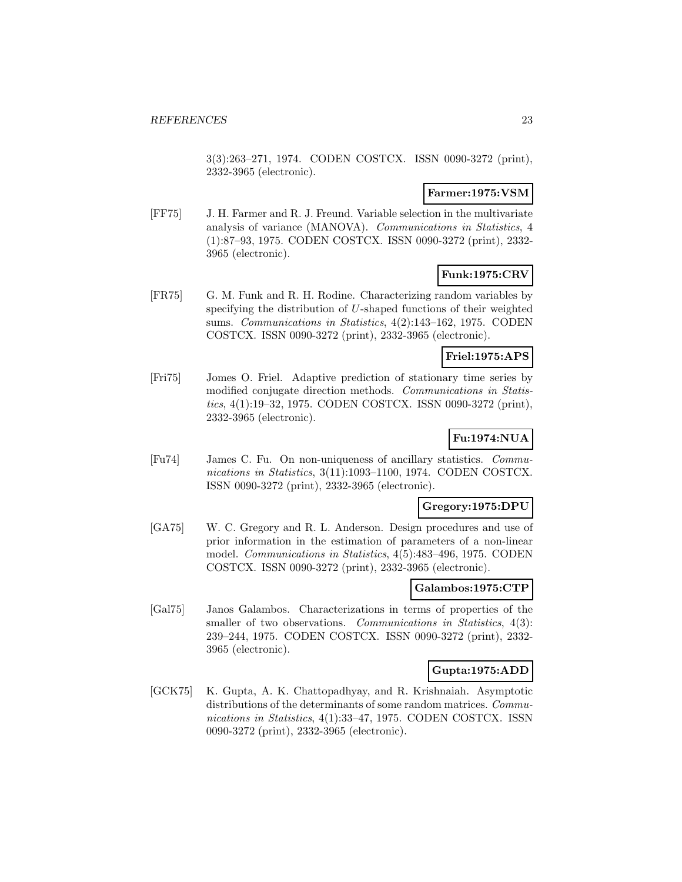3(3):263–271, 1974. CODEN COSTCX. ISSN 0090-3272 (print), 2332-3965 (electronic).

### **Farmer:1975:VSM**

[FF75] J. H. Farmer and R. J. Freund. Variable selection in the multivariate analysis of variance (MANOVA). Communications in Statistics, 4 (1):87–93, 1975. CODEN COSTCX. ISSN 0090-3272 (print), 2332- 3965 (electronic).

# **Funk:1975:CRV**

[FR75] G. M. Funk and R. H. Rodine. Characterizing random variables by specifying the distribution of U-shaped functions of their weighted sums. Communications in Statistics, 4(2):143–162, 1975. CODEN COSTCX. ISSN 0090-3272 (print), 2332-3965 (electronic).

#### **Friel:1975:APS**

[Fri75] Jomes O. Friel. Adaptive prediction of stationary time series by modified conjugate direction methods. Communications in Statistics, 4(1):19–32, 1975. CODEN COSTCX. ISSN 0090-3272 (print), 2332-3965 (electronic).

# **Fu:1974:NUA**

[Fu74] James C. Fu. On non-uniqueness of ancillary statistics. Communications in Statistics, 3(11):1093-1100, 1974. CODEN COSTCX. ISSN 0090-3272 (print), 2332-3965 (electronic).

### **Gregory:1975:DPU**

[GA75] W. C. Gregory and R. L. Anderson. Design procedures and use of prior information in the estimation of parameters of a non-linear model. Communications in Statistics, 4(5):483–496, 1975. CODEN COSTCX. ISSN 0090-3272 (print), 2332-3965 (electronic).

# **Galambos:1975:CTP**

[Gal75] Janos Galambos. Characterizations in terms of properties of the smaller of two observations. Communications in Statistics, 4(3): 239–244, 1975. CODEN COSTCX. ISSN 0090-3272 (print), 2332- 3965 (electronic).

# **Gupta:1975:ADD**

[GCK75] K. Gupta, A. K. Chattopadhyay, and R. Krishnaiah. Asymptotic distributions of the determinants of some random matrices. Communications in Statistics, 4(1):33-47, 1975. CODEN COSTCX. ISSN 0090-3272 (print), 2332-3965 (electronic).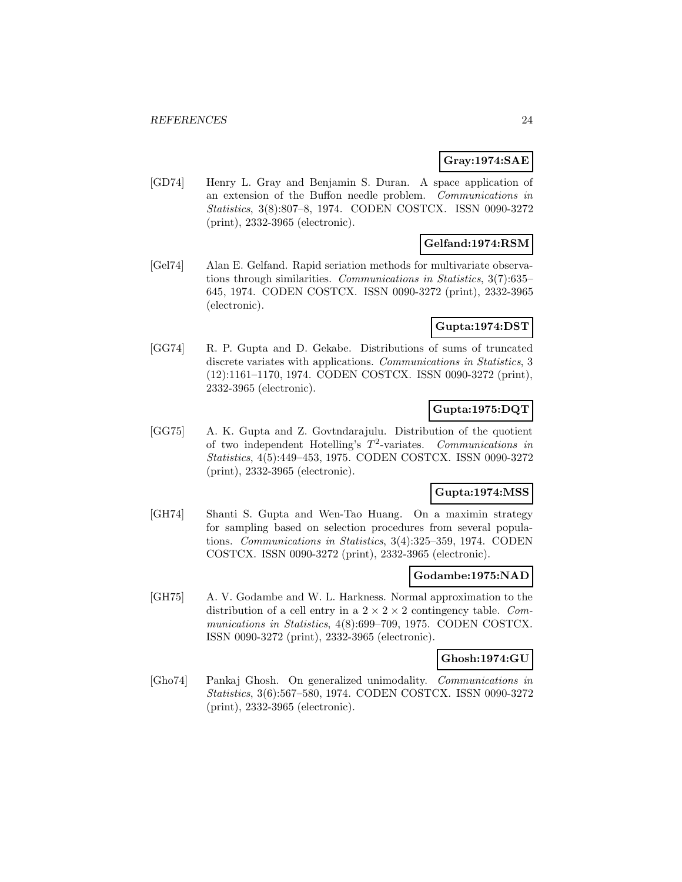# **Gray:1974:SAE**

[GD74] Henry L. Gray and Benjamin S. Duran. A space application of an extension of the Buffon needle problem. Communications in Statistics, 3(8):807–8, 1974. CODEN COSTCX. ISSN 0090-3272 (print), 2332-3965 (electronic).

# **Gelfand:1974:RSM**

[Gel74] Alan E. Gelfand. Rapid seriation methods for multivariate observations through similarities. Communications in Statistics, 3(7):635– 645, 1974. CODEN COSTCX. ISSN 0090-3272 (print), 2332-3965 (electronic).

### **Gupta:1974:DST**

[GG74] R. P. Gupta and D. Gekabe. Distributions of sums of truncated discrete variates with applications. Communications in Statistics, 3 (12):1161–1170, 1974. CODEN COSTCX. ISSN 0090-3272 (print), 2332-3965 (electronic).

# **Gupta:1975:DQT**

[GG75] A. K. Gupta and Z. Govtndarajulu. Distribution of the quotient of two independent Hotelling's  $T^2$ -variates. Communications in Statistics, 4(5):449–453, 1975. CODEN COSTCX. ISSN 0090-3272 (print), 2332-3965 (electronic).

# **Gupta:1974:MSS**

[GH74] Shanti S. Gupta and Wen-Tao Huang. On a maximin strategy for sampling based on selection procedures from several populations. Communications in Statistics, 3(4):325–359, 1974. CODEN COSTCX. ISSN 0090-3272 (print), 2332-3965 (electronic).

### **Godambe:1975:NAD**

[GH75] A. V. Godambe and W. L. Harkness. Normal approximation to the distribution of a cell entry in a  $2 \times 2 \times 2$  contingency table. Communications in Statistics, 4(8):699–709, 1975. CODEN COSTCX. ISSN 0090-3272 (print), 2332-3965 (electronic).

#### **Ghosh:1974:GU**

[Gho74] Pankaj Ghosh. On generalized unimodality. Communications in Statistics, 3(6):567–580, 1974. CODEN COSTCX. ISSN 0090-3272 (print), 2332-3965 (electronic).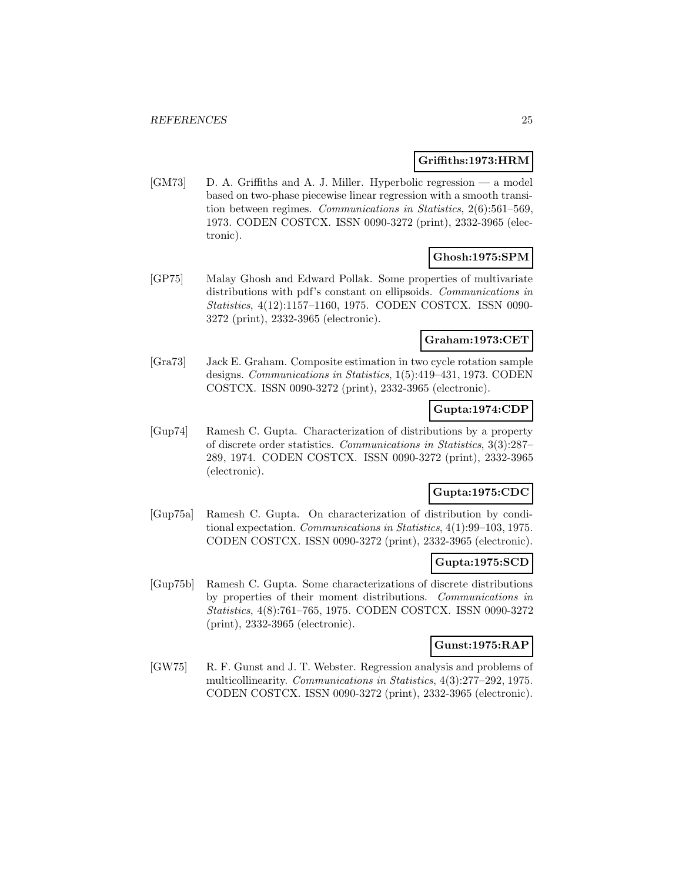#### **Griffiths:1973:HRM**

[GM73] D. A. Griffiths and A. J. Miller. Hyperbolic regression — a model based on two-phase piecewise linear regression with a smooth transition between regimes. Communications in Statistics, 2(6):561–569, 1973. CODEN COSTCX. ISSN 0090-3272 (print), 2332-3965 (electronic).

# **Ghosh:1975:SPM**

[GP75] Malay Ghosh and Edward Pollak. Some properties of multivariate distributions with pdf's constant on ellipsoids. Communications in Statistics, 4(12):1157–1160, 1975. CODEN COSTCX. ISSN 0090- 3272 (print), 2332-3965 (electronic).

### **Graham:1973:CET**

[Gra73] Jack E. Graham. Composite estimation in two cycle rotation sample designs. Communications in Statistics, 1(5):419–431, 1973. CODEN COSTCX. ISSN 0090-3272 (print), 2332-3965 (electronic).

# **Gupta:1974:CDP**

[Gup74] Ramesh C. Gupta. Characterization of distributions by a property of discrete order statistics. Communications in Statistics, 3(3):287– 289, 1974. CODEN COSTCX. ISSN 0090-3272 (print), 2332-3965 (electronic).

# **Gupta:1975:CDC**

[Gup75a] Ramesh C. Gupta. On characterization of distribution by conditional expectation. Communications in Statistics, 4(1):99–103, 1975. CODEN COSTCX. ISSN 0090-3272 (print), 2332-3965 (electronic).

#### **Gupta:1975:SCD**

[Gup75b] Ramesh C. Gupta. Some characterizations of discrete distributions by properties of their moment distributions. Communications in Statistics, 4(8):761–765, 1975. CODEN COSTCX. ISSN 0090-3272 (print), 2332-3965 (electronic).

# **Gunst:1975:RAP**

[GW75] R. F. Gunst and J. T. Webster. Regression analysis and problems of multicollinearity. Communications in Statistics, 4(3):277–292, 1975. CODEN COSTCX. ISSN 0090-3272 (print), 2332-3965 (electronic).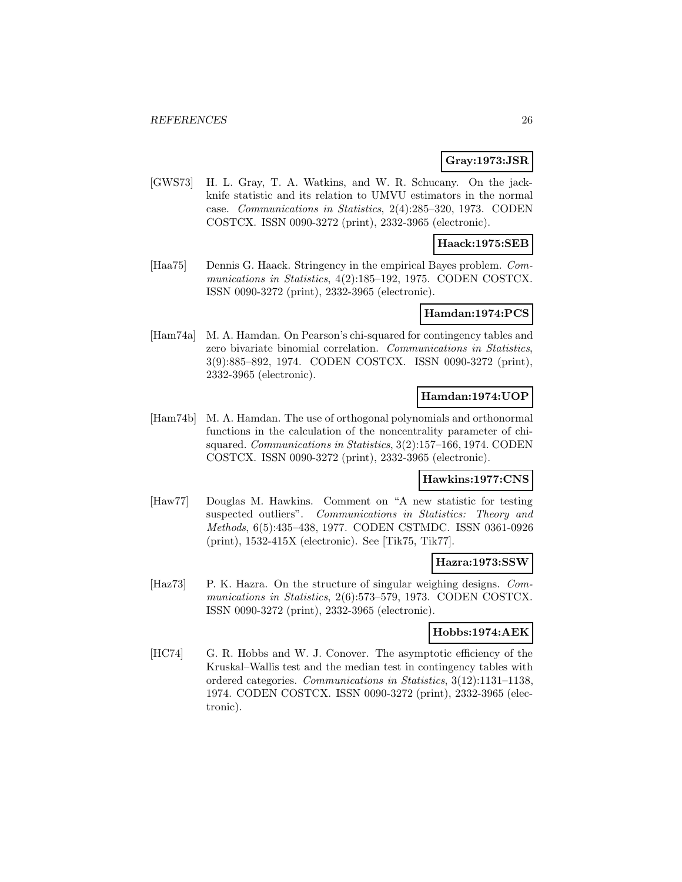# **Gray:1973:JSR**

[GWS73] H. L. Gray, T. A. Watkins, and W. R. Schucany. On the jackknife statistic and its relation to UMVU estimators in the normal case. Communications in Statistics, 2(4):285–320, 1973. CODEN COSTCX. ISSN 0090-3272 (print), 2332-3965 (electronic).

#### **Haack:1975:SEB**

[Haa75] Dennis G. Haack. Stringency in the empirical Bayes problem. Communications in Statistics, 4(2):185–192, 1975. CODEN COSTCX. ISSN 0090-3272 (print), 2332-3965 (electronic).

#### **Hamdan:1974:PCS**

[Ham74a] M. A. Hamdan. On Pearson's chi-squared for contingency tables and zero bivariate binomial correlation. Communications in Statistics, 3(9):885–892, 1974. CODEN COSTCX. ISSN 0090-3272 (print), 2332-3965 (electronic).

# **Hamdan:1974:UOP**

[Ham74b] M. A. Hamdan. The use of orthogonal polynomials and orthonormal functions in the calculation of the noncentrality parameter of chisquared. Communications in Statistics, 3(2):157–166, 1974. CODEN COSTCX. ISSN 0090-3272 (print), 2332-3965 (electronic).

### **Hawkins:1977:CNS**

[Haw77] Douglas M. Hawkins. Comment on "A new statistic for testing suspected outliers". Communications in Statistics: Theory and Methods, 6(5):435–438, 1977. CODEN CSTMDC. ISSN 0361-0926 (print), 1532-415X (electronic). See [Tik75, Tik77].

#### **Hazra:1973:SSW**

[Haz73] P. K. Hazra. On the structure of singular weighing designs. Communications in Statistics, 2(6):573–579, 1973. CODEN COSTCX. ISSN 0090-3272 (print), 2332-3965 (electronic).

# **Hobbs:1974:AEK**

[HC74] G. R. Hobbs and W. J. Conover. The asymptotic efficiency of the Kruskal–Wallis test and the median test in contingency tables with ordered categories. Communications in Statistics, 3(12):1131–1138, 1974. CODEN COSTCX. ISSN 0090-3272 (print), 2332-3965 (electronic).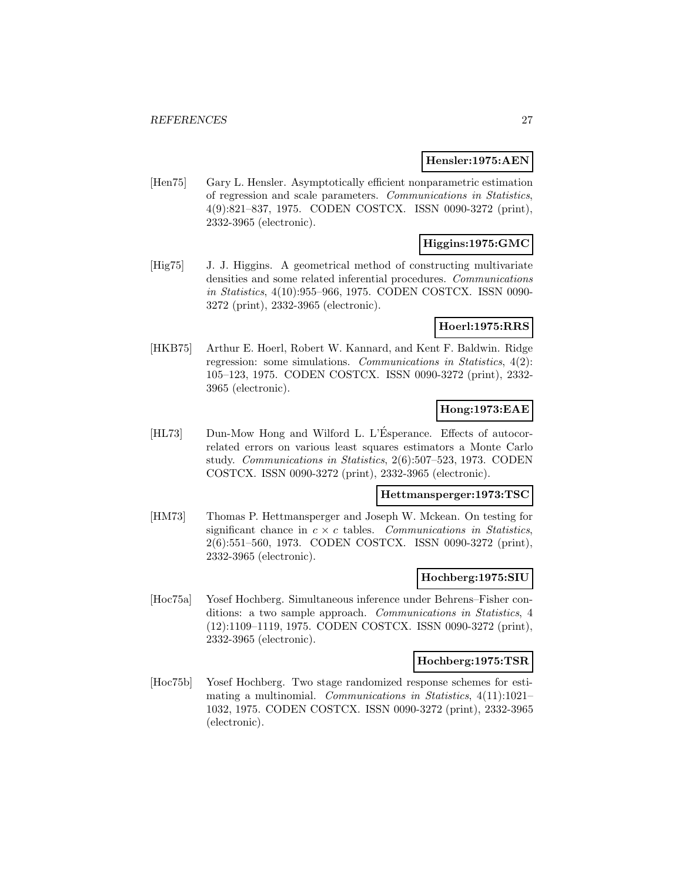#### **Hensler:1975:AEN**

[Hen75] Gary L. Hensler. Asymptotically efficient nonparametric estimation of regression and scale parameters. Communications in Statistics, 4(9):821–837, 1975. CODEN COSTCX. ISSN 0090-3272 (print), 2332-3965 (electronic).

# **Higgins:1975:GMC**

[Hig75] J. J. Higgins. A geometrical method of constructing multivariate densities and some related inferential procedures. Communications in Statistics, 4(10):955–966, 1975. CODEN COSTCX. ISSN 0090- 3272 (print), 2332-3965 (electronic).

### **Hoerl:1975:RRS**

[HKB75] Arthur E. Hoerl, Robert W. Kannard, and Kent F. Baldwin. Ridge regression: some simulations. Communications in Statistics, 4(2): 105–123, 1975. CODEN COSTCX. ISSN 0090-3272 (print), 2332- 3965 (electronic).

# **Hong:1973:EAE**

[HL73] Dun-Mow Hong and Wilford L. L'Esperance. Effects of autocorrelated errors on various least squares estimators a Monte Carlo study. Communications in Statistics, 2(6):507–523, 1973. CODEN COSTCX. ISSN 0090-3272 (print), 2332-3965 (electronic).

# **Hettmansperger:1973:TSC**

[HM73] Thomas P. Hettmansperger and Joseph W. Mckean. On testing for significant chance in  $c \times c$  tables. Communications in Statistics, 2(6):551–560, 1973. CODEN COSTCX. ISSN 0090-3272 (print), 2332-3965 (electronic).

### **Hochberg:1975:SIU**

[Hoc75a] Yosef Hochberg. Simultaneous inference under Behrens–Fisher conditions: a two sample approach. Communications in Statistics, 4 (12):1109–1119, 1975. CODEN COSTCX. ISSN 0090-3272 (print), 2332-3965 (electronic).

### **Hochberg:1975:TSR**

[Hoc75b] Yosef Hochberg. Two stage randomized response schemes for estimating a multinomial. Communications in Statistics, 4(11):1021– 1032, 1975. CODEN COSTCX. ISSN 0090-3272 (print), 2332-3965 (electronic).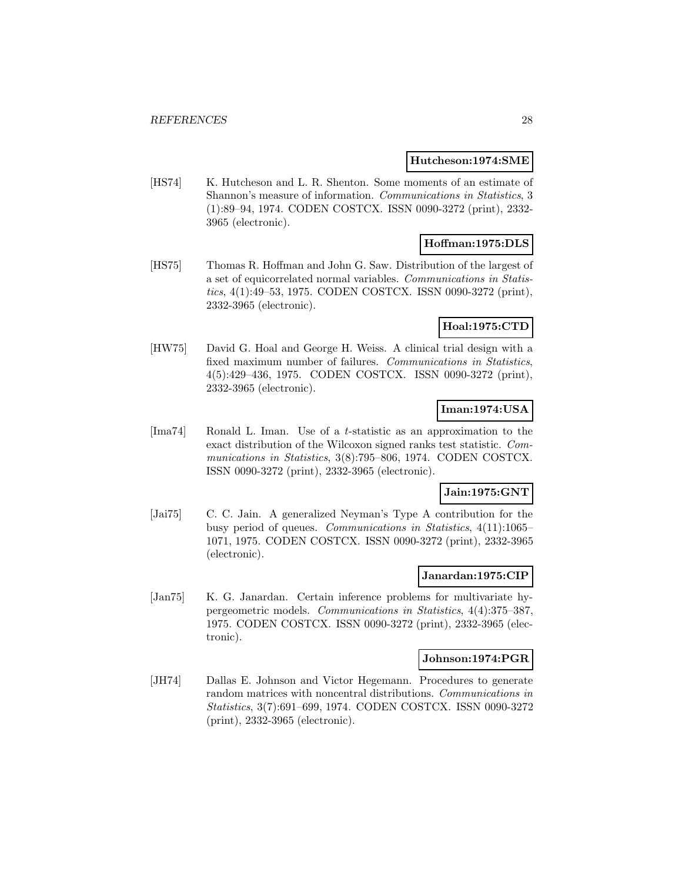#### **Hutcheson:1974:SME**

[HS74] K. Hutcheson and L. R. Shenton. Some moments of an estimate of Shannon's measure of information. Communications in Statistics, 3 (1):89–94, 1974. CODEN COSTCX. ISSN 0090-3272 (print), 2332- 3965 (electronic).

# **Hoffman:1975:DLS**

[HS75] Thomas R. Hoffman and John G. Saw. Distribution of the largest of a set of equicorrelated normal variables. Communications in Statistics, 4(1):49–53, 1975. CODEN COSTCX. ISSN 0090-3272 (print), 2332-3965 (electronic).

# **Hoal:1975:CTD**

[HW75] David G. Hoal and George H. Weiss. A clinical trial design with a fixed maximum number of failures. Communications in Statistics, 4(5):429–436, 1975. CODEN COSTCX. ISSN 0090-3272 (print), 2332-3965 (electronic).

# **Iman:1974:USA**

[Ima74] Ronald L. Iman. Use of a t-statistic as an approximation to the exact distribution of the Wilcoxon signed ranks test statistic. Communications in Statistics, 3(8):795–806, 1974. CODEN COSTCX. ISSN 0090-3272 (print), 2332-3965 (electronic).

#### **Jain:1975:GNT**

[Jai75] C. C. Jain. A generalized Neyman's Type A contribution for the busy period of queues. Communications in Statistics, 4(11):1065– 1071, 1975. CODEN COSTCX. ISSN 0090-3272 (print), 2332-3965 (electronic).

### **Janardan:1975:CIP**

[Jan75] K. G. Janardan. Certain inference problems for multivariate hypergeometric models. Communications in Statistics, 4(4):375–387, 1975. CODEN COSTCX. ISSN 0090-3272 (print), 2332-3965 (electronic).

### **Johnson:1974:PGR**

[JH74] Dallas E. Johnson and Victor Hegemann. Procedures to generate random matrices with noncentral distributions. Communications in Statistics, 3(7):691–699, 1974. CODEN COSTCX. ISSN 0090-3272 (print), 2332-3965 (electronic).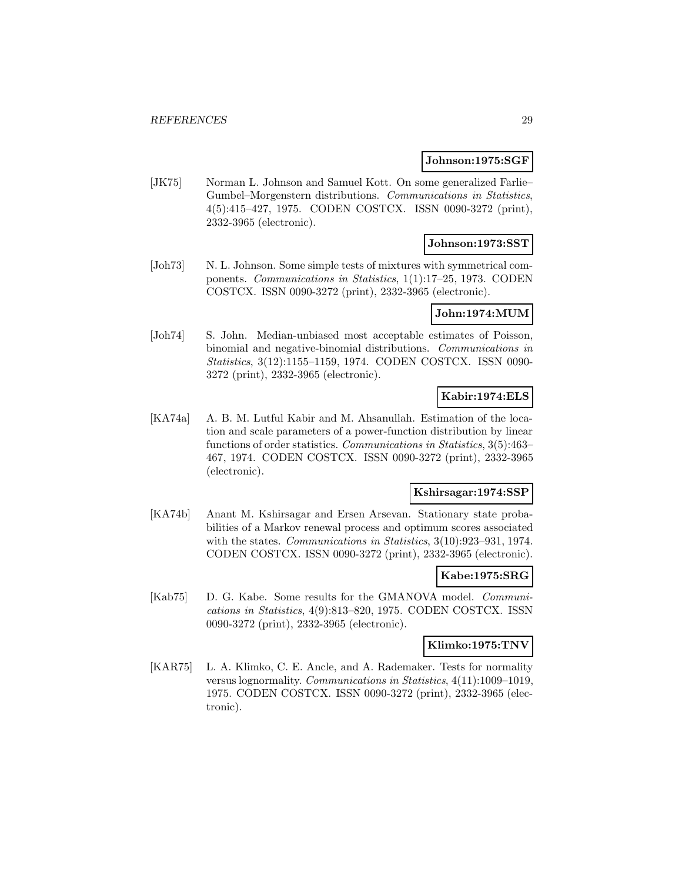#### **Johnson:1975:SGF**

[JK75] Norman L. Johnson and Samuel Kott. On some generalized Farlie-Gumbel–Morgenstern distributions. Communications in Statistics, 4(5):415–427, 1975. CODEN COSTCX. ISSN 0090-3272 (print), 2332-3965 (electronic).

### **Johnson:1973:SST**

[Joh73] N. L. Johnson. Some simple tests of mixtures with symmetrical components. Communications in Statistics, 1(1):17–25, 1973. CODEN COSTCX. ISSN 0090-3272 (print), 2332-3965 (electronic).

#### **John:1974:MUM**

[Joh74] S. John. Median-unbiased most acceptable estimates of Poisson, binomial and negative-binomial distributions. Communications in Statistics, 3(12):1155–1159, 1974. CODEN COSTCX. ISSN 0090- 3272 (print), 2332-3965 (electronic).

# **Kabir:1974:ELS**

[KA74a] A. B. M. Lutful Kabir and M. Ahsanullah. Estimation of the location and scale parameters of a power-function distribution by linear functions of order statistics. Communications in Statistics, 3(5):463– 467, 1974. CODEN COSTCX. ISSN 0090-3272 (print), 2332-3965 (electronic).

#### **Kshirsagar:1974:SSP**

[KA74b] Anant M. Kshirsagar and Ersen Arsevan. Stationary state probabilities of a Markov renewal process and optimum scores associated with the states. Communications in Statistics, 3(10):923-931, 1974. CODEN COSTCX. ISSN 0090-3272 (print), 2332-3965 (electronic).

### **Kabe:1975:SRG**

[Kab75] D. G. Kabe. Some results for the GMANOVA model. *Communi*cations in Statistics, 4(9):813–820, 1975. CODEN COSTCX. ISSN 0090-3272 (print), 2332-3965 (electronic).

#### **Klimko:1975:TNV**

[KAR75] L. A. Klimko, C. E. Ancle, and A. Rademaker. Tests for normality versus lognormality. Communications in Statistics, 4(11):1009–1019, 1975. CODEN COSTCX. ISSN 0090-3272 (print), 2332-3965 (electronic).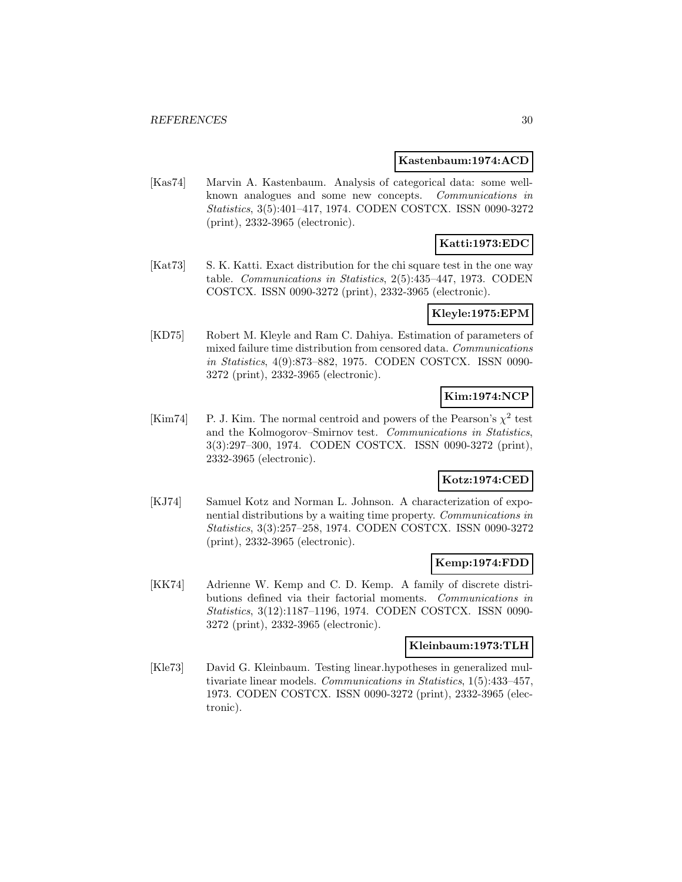#### **Kastenbaum:1974:ACD**

[Kas74] Marvin A. Kastenbaum. Analysis of categorical data: some wellknown analogues and some new concepts. Communications in Statistics, 3(5):401–417, 1974. CODEN COSTCX. ISSN 0090-3272 (print), 2332-3965 (electronic).

# **Katti:1973:EDC**

[Kat73] S. K. Katti. Exact distribution for the chi square test in the one way table. Communications in Statistics, 2(5):435–447, 1973. CODEN COSTCX. ISSN 0090-3272 (print), 2332-3965 (electronic).

#### **Kleyle:1975:EPM**

[KD75] Robert M. Kleyle and Ram C. Dahiya. Estimation of parameters of mixed failure time distribution from censored data. Communications in Statistics, 4(9):873–882, 1975. CODEN COSTCX. ISSN 0090- 3272 (print), 2332-3965 (electronic).

# **Kim:1974:NCP**

[Kim74] P. J. Kim. The normal centroid and powers of the Pearson's  $\chi^2$  test and the Kolmogorov–Smirnov test. Communications in Statistics, 3(3):297–300, 1974. CODEN COSTCX. ISSN 0090-3272 (print), 2332-3965 (electronic).

# **Kotz:1974:CED**

[KJ74] Samuel Kotz and Norman L. Johnson. A characterization of exponential distributions by a waiting time property. Communications in Statistics, 3(3):257–258, 1974. CODEN COSTCX. ISSN 0090-3272 (print), 2332-3965 (electronic).

#### **Kemp:1974:FDD**

[KK74] Adrienne W. Kemp and C. D. Kemp. A family of discrete distributions defined via their factorial moments. Communications in Statistics, 3(12):1187–1196, 1974. CODEN COSTCX. ISSN 0090- 3272 (print), 2332-3965 (electronic).

#### **Kleinbaum:1973:TLH**

[Kle73] David G. Kleinbaum. Testing linear.hypotheses in generalized multivariate linear models. Communications in Statistics, 1(5):433–457, 1973. CODEN COSTCX. ISSN 0090-3272 (print), 2332-3965 (electronic).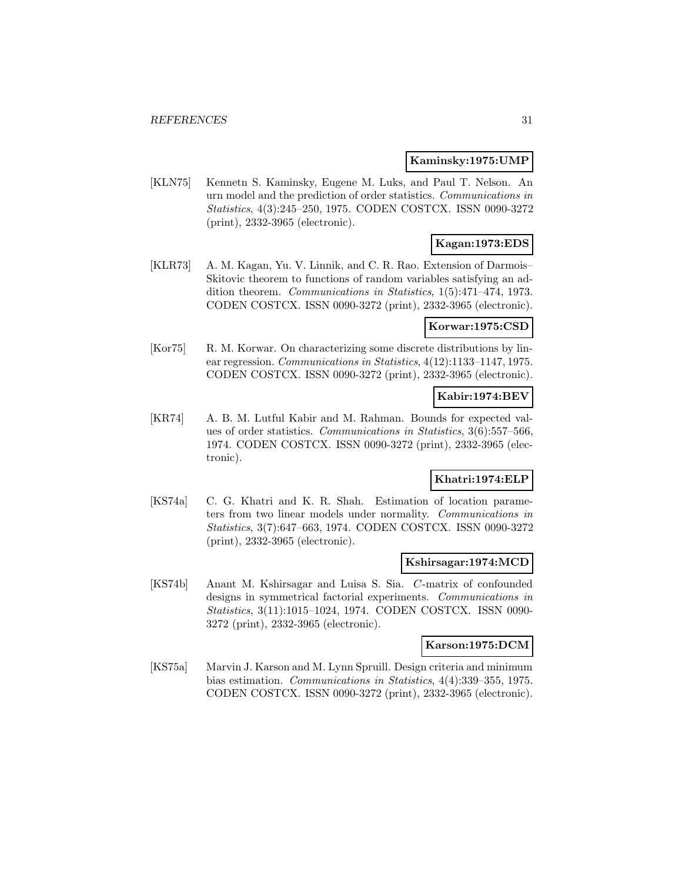#### **Kaminsky:1975:UMP**

[KLN75] Kennetn S. Kaminsky, Eugene M. Luks, and Paul T. Nelson. An urn model and the prediction of order statistics. Communications in Statistics, 4(3):245–250, 1975. CODEN COSTCX. ISSN 0090-3272 (print), 2332-3965 (electronic).

# **Kagan:1973:EDS**

[KLR73] A. M. Kagan, Yu. V. Linnik, and C. R. Rao. Extension of Darmois– Skitovic theorem to functions of random variables satisfying an addition theorem. Communications in Statistics, 1(5):471–474, 1973. CODEN COSTCX. ISSN 0090-3272 (print), 2332-3965 (electronic).

### **Korwar:1975:CSD**

[Kor75] R. M. Korwar. On characterizing some discrete distributions by linear regression. Communications in Statistics, 4(12):1133–1147, 1975. CODEN COSTCX. ISSN 0090-3272 (print), 2332-3965 (electronic).

# **Kabir:1974:BEV**

[KR74] A. B. M. Lutful Kabir and M. Rahman. Bounds for expected values of order statistics. Communications in Statistics, 3(6):557–566, 1974. CODEN COSTCX. ISSN 0090-3272 (print), 2332-3965 (electronic).

# **Khatri:1974:ELP**

[KS74a] C. G. Khatri and K. R. Shah. Estimation of location parameters from two linear models under normality. Communications in Statistics, 3(7):647–663, 1974. CODEN COSTCX. ISSN 0090-3272 (print), 2332-3965 (electronic).

#### **Kshirsagar:1974:MCD**

[KS74b] Anant M. Kshirsagar and Luisa S. Sia. C-matrix of confounded designs in symmetrical factorial experiments. Communications in Statistics, 3(11):1015–1024, 1974. CODEN COSTCX. ISSN 0090- 3272 (print), 2332-3965 (electronic).

#### **Karson:1975:DCM**

[KS75a] Marvin J. Karson and M. Lynn Spruill. Design criteria and minimum bias estimation. Communications in Statistics, 4(4):339–355, 1975. CODEN COSTCX. ISSN 0090-3272 (print), 2332-3965 (electronic).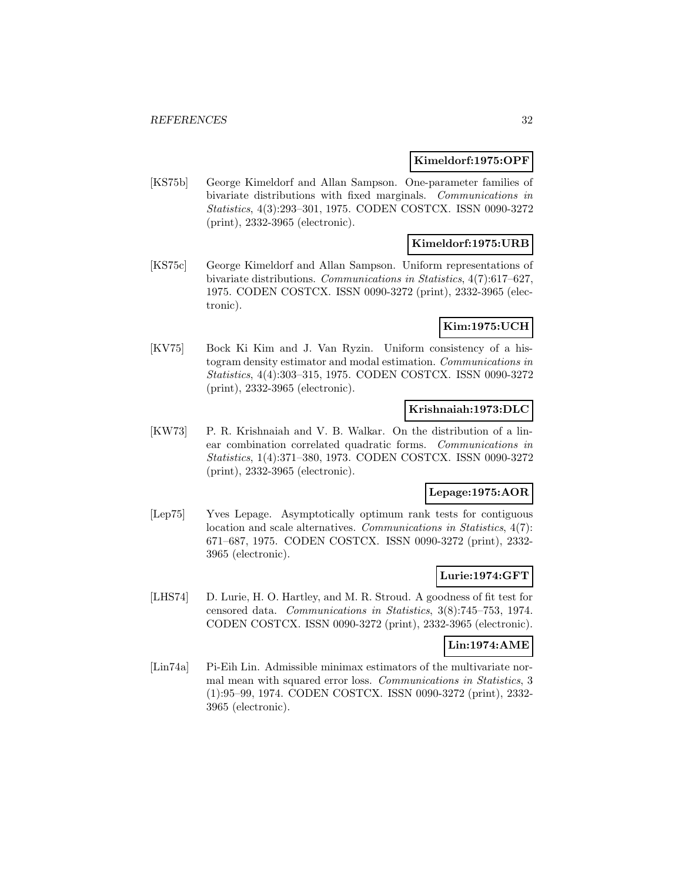#### **Kimeldorf:1975:OPF**

[KS75b] George Kimeldorf and Allan Sampson. One-parameter families of bivariate distributions with fixed marginals. Communications in Statistics, 4(3):293–301, 1975. CODEN COSTCX. ISSN 0090-3272 (print), 2332-3965 (electronic).

### **Kimeldorf:1975:URB**

[KS75c] George Kimeldorf and Allan Sampson. Uniform representations of bivariate distributions. Communications in Statistics, 4(7):617–627, 1975. CODEN COSTCX. ISSN 0090-3272 (print), 2332-3965 (electronic).

# **Kim:1975:UCH**

[KV75] Bock Ki Kim and J. Van Ryzin. Uniform consistency of a histogram density estimator and modal estimation. Communications in Statistics, 4(4):303–315, 1975. CODEN COSTCX. ISSN 0090-3272 (print), 2332-3965 (electronic).

### **Krishnaiah:1973:DLC**

[KW73] P. R. Krishnaiah and V. B. Walkar. On the distribution of a linear combination correlated quadratic forms. Communications in Statistics, 1(4):371–380, 1973. CODEN COSTCX. ISSN 0090-3272 (print), 2332-3965 (electronic).

#### **Lepage:1975:AOR**

[Lep75] Yves Lepage. Asymptotically optimum rank tests for contiguous location and scale alternatives. Communications in Statistics, 4(7): 671–687, 1975. CODEN COSTCX. ISSN 0090-3272 (print), 2332- 3965 (electronic).

# **Lurie:1974:GFT**

[LHS74] D. Lurie, H. O. Hartley, and M. R. Stroud. A goodness of fit test for censored data. Communications in Statistics, 3(8):745–753, 1974. CODEN COSTCX. ISSN 0090-3272 (print), 2332-3965 (electronic).

#### **Lin:1974:AME**

[Lin74a] Pi-Eih Lin. Admissible minimax estimators of the multivariate normal mean with squared error loss. Communications in Statistics, 3 (1):95–99, 1974. CODEN COSTCX. ISSN 0090-3272 (print), 2332- 3965 (electronic).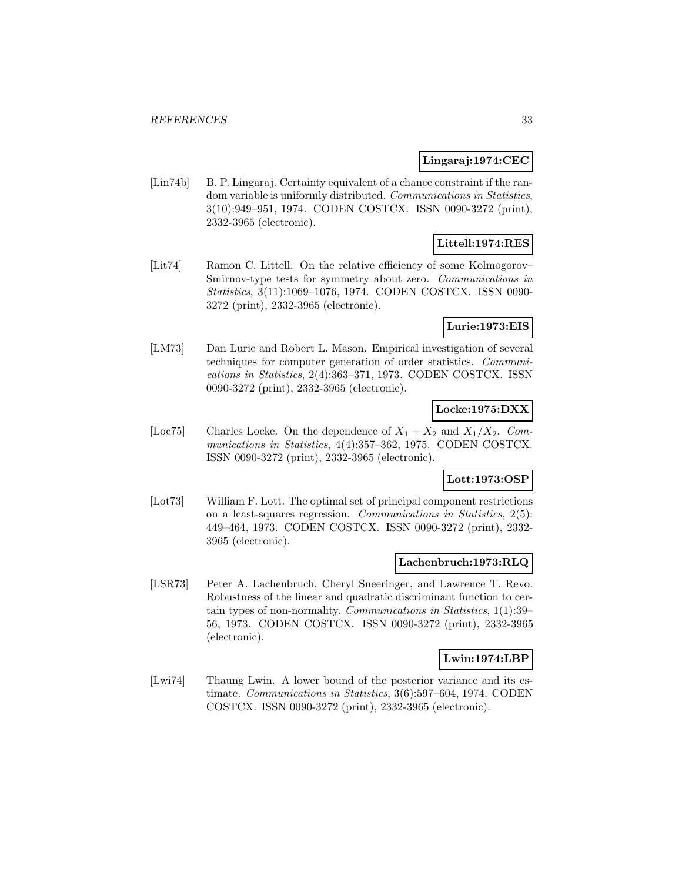# **Lingaraj:1974:CEC**

[Lin74b] B. P. Lingaraj. Certainty equivalent of a chance constraint if the random variable is uniformly distributed. Communications in Statistics, 3(10):949–951, 1974. CODEN COSTCX. ISSN 0090-3272 (print), 2332-3965 (electronic).

# **Littell:1974:RES**

[Lit74] Ramon C. Littell. On the relative efficiency of some Kolmogorov– Smirnov-type tests for symmetry about zero. Communications in Statistics, 3(11):1069–1076, 1974. CODEN COSTCX. ISSN 0090- 3272 (print), 2332-3965 (electronic).

# **Lurie:1973:EIS**

[LM73] Dan Lurie and Robert L. Mason. Empirical investigation of several techniques for computer generation of order statistics. Communications in Statistics, 2(4):363–371, 1973. CODEN COSTCX. ISSN 0090-3272 (print), 2332-3965 (electronic).

# **Locke:1975:DXX**

[Loc75] Charles Locke. On the dependence of  $X_1 + X_2$  and  $X_1/X_2$ . Communications in Statistics, 4(4):357–362, 1975. CODEN COSTCX. ISSN 0090-3272 (print), 2332-3965 (electronic).

# **Lott:1973:OSP**

[Lot73] William F. Lott. The optimal set of principal component restrictions on a least-squares regression. Communications in Statistics, 2(5): 449–464, 1973. CODEN COSTCX. ISSN 0090-3272 (print), 2332- 3965 (electronic).

#### **Lachenbruch:1973:RLQ**

[LSR73] Peter A. Lachenbruch, Cheryl Sneeringer, and Lawrence T. Revo. Robustness of the linear and quadratic discriminant function to certain types of non-normality. Communications in Statistics, 1(1):39– 56, 1973. CODEN COSTCX. ISSN 0090-3272 (print), 2332-3965 (electronic).

# **Lwin:1974:LBP**

[Lwi74] Thaung Lwin. A lower bound of the posterior variance and its estimate. Communications in Statistics, 3(6):597–604, 1974. CODEN COSTCX. ISSN 0090-3272 (print), 2332-3965 (electronic).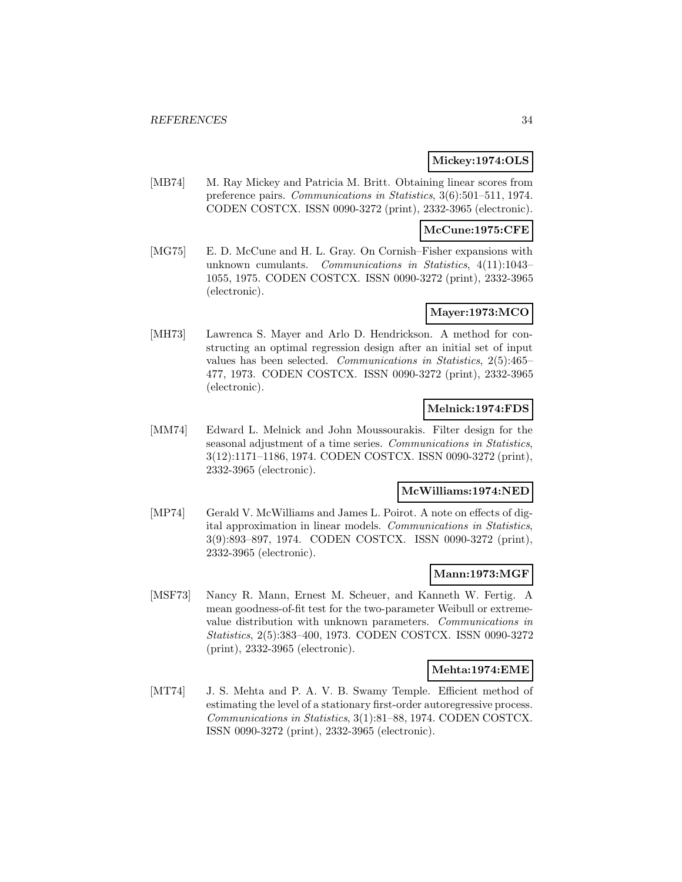# **Mickey:1974:OLS**

[MB74] M. Ray Mickey and Patricia M. Britt. Obtaining linear scores from preference pairs. Communications in Statistics, 3(6):501–511, 1974. CODEN COSTCX. ISSN 0090-3272 (print), 2332-3965 (electronic).

# **McCune:1975:CFE**

[MG75] E. D. McCune and H. L. Gray. On Cornish–Fisher expansions with unknown cumulants. Communications in Statistics, 4(11):1043– 1055, 1975. CODEN COSTCX. ISSN 0090-3272 (print), 2332-3965 (electronic).

### **Mayer:1973:MCO**

[MH73] Lawrenca S. Mayer and Arlo D. Hendrickson. A method for constructing an optimal regression design after an initial set of input values has been selected. Communications in Statistics, 2(5):465– 477, 1973. CODEN COSTCX. ISSN 0090-3272 (print), 2332-3965 (electronic).

# **Melnick:1974:FDS**

[MM74] Edward L. Melnick and John Moussourakis. Filter design for the seasonal adjustment of a time series. Communications in Statistics, 3(12):1171–1186, 1974. CODEN COSTCX. ISSN 0090-3272 (print), 2332-3965 (electronic).

# **McWilliams:1974:NED**

[MP74] Gerald V. McWilliams and James L. Poirot. A note on effects of digital approximation in linear models. Communications in Statistics, 3(9):893–897, 1974. CODEN COSTCX. ISSN 0090-3272 (print), 2332-3965 (electronic).

# **Mann:1973:MGF**

[MSF73] Nancy R. Mann, Ernest M. Scheuer, and Kanneth W. Fertig. A mean goodness-of-fit test for the two-parameter Weibull or extremevalue distribution with unknown parameters. Communications in Statistics, 2(5):383–400, 1973. CODEN COSTCX. ISSN 0090-3272 (print), 2332-3965 (electronic).

#### **Mehta:1974:EME**

[MT74] J. S. Mehta and P. A. V. B. Swamy Temple. Efficient method of estimating the level of a stationary first-order autoregressive process. Communications in Statistics, 3(1):81–88, 1974. CODEN COSTCX. ISSN 0090-3272 (print), 2332-3965 (electronic).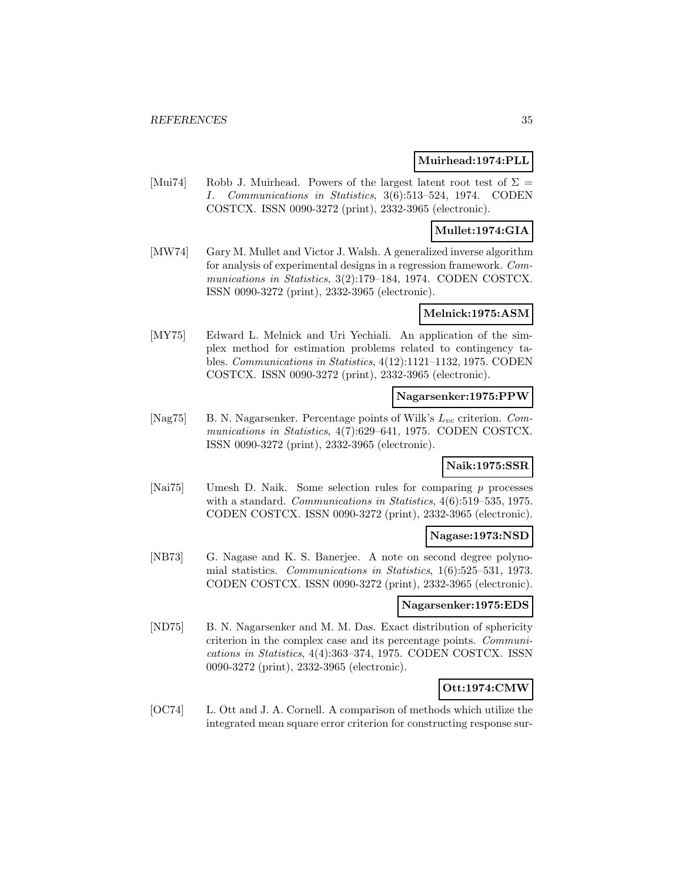#### **Muirhead:1974:PLL**

[Mui74] Robb J. Muirhead. Powers of the largest latent root test of  $\Sigma =$ I. Communications in Statistics, 3(6):513–524, 1974. CODEN COSTCX. ISSN 0090-3272 (print), 2332-3965 (electronic).

# **Mullet:1974:GIA**

[MW74] Gary M. Mullet and Victor J. Walsh. A generalized inverse algorithm for analysis of experimental designs in a regression framework. Communications in Statistics, 3(2):179–184, 1974. CODEN COSTCX. ISSN 0090-3272 (print), 2332-3965 (electronic).

#### **Melnick:1975:ASM**

[MY75] Edward L. Melnick and Uri Yechiali. An application of the simplex method for estimation problems related to contingency tables. Communications in Statistics, 4(12):1121–1132, 1975. CODEN COSTCX. ISSN 0090-3272 (print), 2332-3965 (electronic).

### **Nagarsenker:1975:PPW**

[Nag75] B. N. Nagarsenker. Percentage points of Wilk's  $L_{vc}$  criterion. Communications in Statistics, 4(7):629–641, 1975. CODEN COSTCX. ISSN 0090-3272 (print), 2332-3965 (electronic).

# **Naik:1975:SSR**

[Nai75] Umesh D. Naik. Some selection rules for comparing p processes with a standard. Communications in Statistics,  $4(6)$ :519-535, 1975. CODEN COSTCX. ISSN 0090-3272 (print), 2332-3965 (electronic).

#### **Nagase:1973:NSD**

[NB73] G. Nagase and K. S. Banerjee. A note on second degree polynomial statistics. Communications in Statistics, 1(6):525–531, 1973. CODEN COSTCX. ISSN 0090-3272 (print), 2332-3965 (electronic).

### **Nagarsenker:1975:EDS**

[ND75] B. N. Nagarsenker and M. M. Das. Exact distribution of sphericity criterion in the complex case and its percentage points. Communications in Statistics, 4(4):363–374, 1975. CODEN COSTCX. ISSN 0090-3272 (print), 2332-3965 (electronic).

# **Ott:1974:CMW**

[OC74] L. Ott and J. A. Cornell. A comparison of methods which utilize the integrated mean square error criterion for constructing response sur-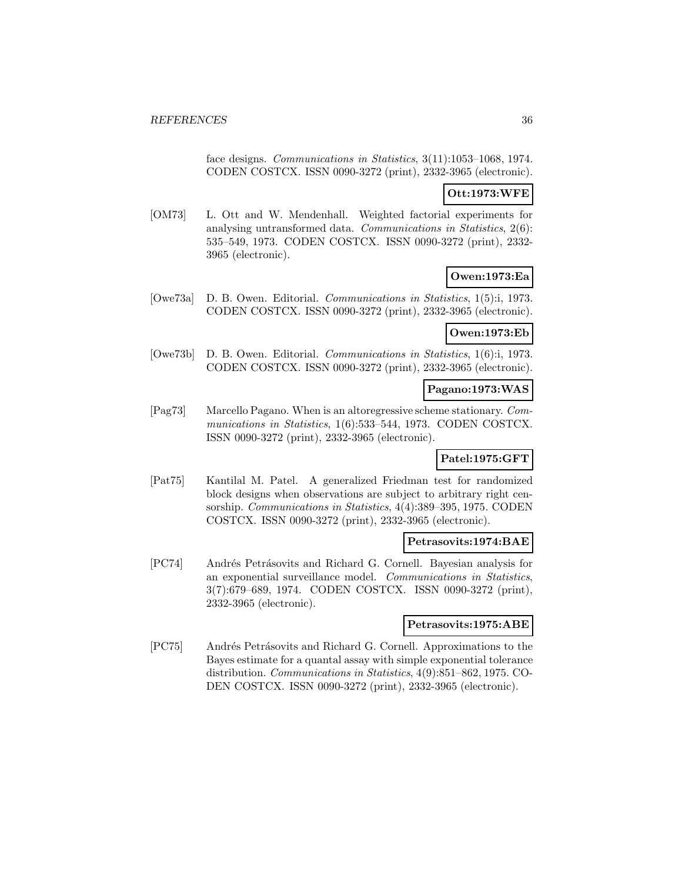face designs. Communications in Statistics, 3(11):1053–1068, 1974. CODEN COSTCX. ISSN 0090-3272 (print), 2332-3965 (electronic).

# **Ott:1973:WFE**

[OM73] L. Ott and W. Mendenhall. Weighted factorial experiments for analysing untransformed data. Communications in Statistics, 2(6): 535–549, 1973. CODEN COSTCX. ISSN 0090-3272 (print), 2332- 3965 (electronic).

# **Owen:1973:Ea**

[Owe73a] D. B. Owen. Editorial. Communications in Statistics, 1(5):i, 1973. CODEN COSTCX. ISSN 0090-3272 (print), 2332-3965 (electronic).

# **Owen:1973:Eb**

[Owe73b] D. B. Owen. Editorial. Communications in Statistics, 1(6):i, 1973. CODEN COSTCX. ISSN 0090-3272 (print), 2332-3965 (electronic).

# **Pagano:1973:WAS**

[Pag73] Marcello Pagano. When is an altoregressive scheme stationary. Communications in Statistics, 1(6):533–544, 1973. CODEN COSTCX. ISSN 0090-3272 (print), 2332-3965 (electronic).

# **Patel:1975:GFT**

[Pat75] Kantilal M. Patel. A generalized Friedman test for randomized block designs when observations are subject to arbitrary right censorship. Communications in Statistics, 4(4):389–395, 1975. CODEN COSTCX. ISSN 0090-3272 (print), 2332-3965 (electronic).

# **Petrasovits:1974:BAE**

[PC74] Andrés Petrásovits and Richard G. Cornell. Bayesian analysis for an exponential surveillance model. Communications in Statistics, 3(7):679–689, 1974. CODEN COSTCX. ISSN 0090-3272 (print), 2332-3965 (electronic).

#### **Petrasovits:1975:ABE**

[PC75] Andrés Petrásovits and Richard G. Cornell. Approximations to the Bayes estimate for a quantal assay with simple exponential tolerance distribution. Communications in Statistics, 4(9):851–862, 1975. CO-DEN COSTCX. ISSN 0090-3272 (print), 2332-3965 (electronic).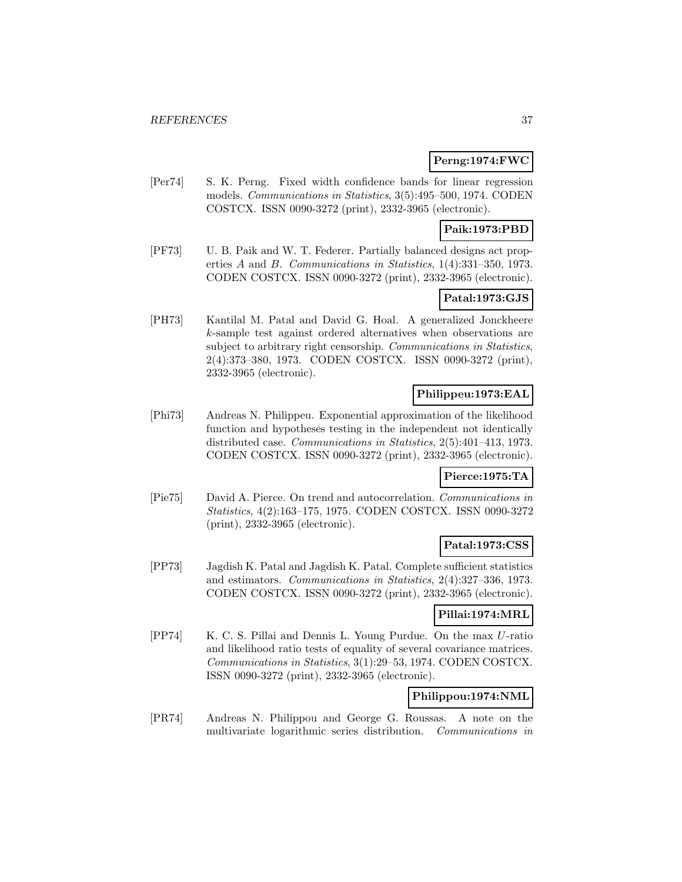# **Perng:1974:FWC**

[Per74] S. K. Perng. Fixed width confidence bands for linear regression models. Communications in Statistics, 3(5):495–500, 1974. CODEN COSTCX. ISSN 0090-3272 (print), 2332-3965 (electronic).

# **Paik:1973:PBD**

[PF73] U. B. Paik and W. T. Federer. Partially balanced designs act properties A and B. Communications in Statistics, 1(4):331–350, 1973. CODEN COSTCX. ISSN 0090-3272 (print), 2332-3965 (electronic).

# **Patal:1973:GJS**

[PH73] Kantilal M. Patal and David G. Hoal. A generalized Jonckheere k-sample test against ordered alternatives when observations are subject to arbitrary right censorship. Communications in Statistics, 2(4):373–380, 1973. CODEN COSTCX. ISSN 0090-3272 (print), 2332-3965 (electronic).

# **Philippeu:1973:EAL**

[Phi73] Andreas N. Philippeu. Exponential approximation of the likelihood function and hypotheses testing in the independent not identically distributed case. Communications in Statistics, 2(5):401–413, 1973. CODEN COSTCX. ISSN 0090-3272 (print), 2332-3965 (electronic).

# **Pierce:1975:TA**

[Pie75] David A. Pierce. On trend and autocorrelation. Communications in Statistics, 4(2):163–175, 1975. CODEN COSTCX. ISSN 0090-3272 (print), 2332-3965 (electronic).

# **Patal:1973:CSS**

[PP73] Jagdish K. Patal and Jagdish K. Patal. Complete sufficient statistics and estimators. Communications in Statistics, 2(4):327–336, 1973. CODEN COSTCX. ISSN 0090-3272 (print), 2332-3965 (electronic).

# **Pillai:1974:MRL**

[PP74] K. C. S. Pillai and Dennis L. Young Purdue. On the max U-ratio and likelihood ratio tests of equality of several covariance matrices. Communications in Statistics, 3(1):29–53, 1974. CODEN COSTCX. ISSN 0090-3272 (print), 2332-3965 (electronic).

# **Philippou:1974:NML**

[PR74] Andreas N. Philippou and George G. Roussas. A note on the multivariate logarithmic series distribution. Communications in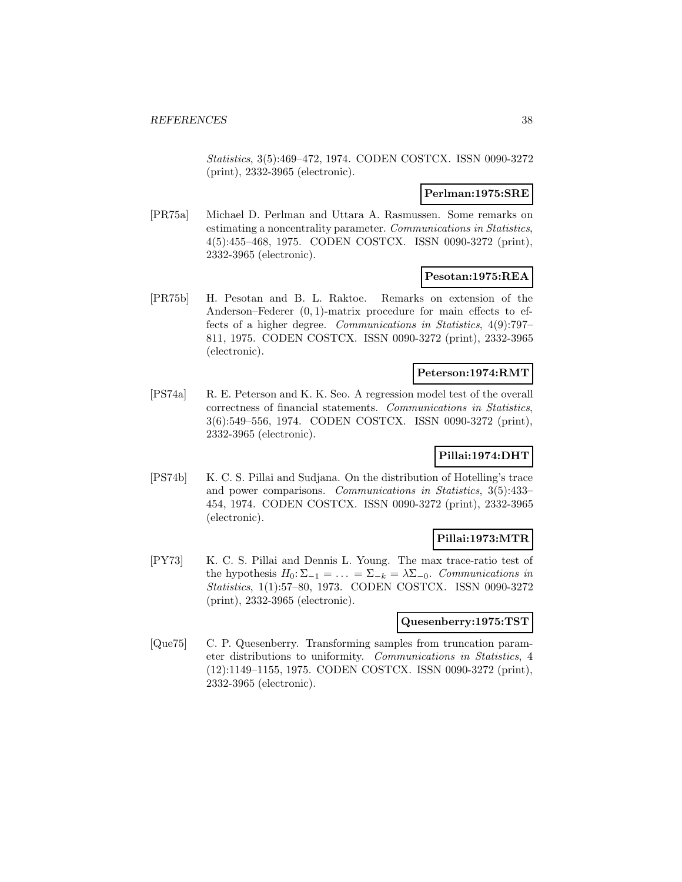Statistics, 3(5):469–472, 1974. CODEN COSTCX. ISSN 0090-3272 (print), 2332-3965 (electronic).

# **Perlman:1975:SRE**

[PR75a] Michael D. Perlman and Uttara A. Rasmussen. Some remarks on estimating a noncentrality parameter. Communications in Statistics, 4(5):455–468, 1975. CODEN COSTCX. ISSN 0090-3272 (print), 2332-3965 (electronic).

# **Pesotan:1975:REA**

[PR75b] H. Pesotan and B. L. Raktoe. Remarks on extension of the Anderson–Federer  $(0, 1)$ -matrix procedure for main effects to effects of a higher degree. Communications in Statistics, 4(9):797– 811, 1975. CODEN COSTCX. ISSN 0090-3272 (print), 2332-3965 (electronic).

# **Peterson:1974:RMT**

[PS74a] R. E. Peterson and K. K. Seo. A regression model test of the overall correctness of financial statements. Communications in Statistics, 3(6):549–556, 1974. CODEN COSTCX. ISSN 0090-3272 (print), 2332-3965 (electronic).

# **Pillai:1974:DHT**

[PS74b] K. C. S. Pillai and Sudjana. On the distribution of Hotelling's trace and power comparisons. Communications in Statistics, 3(5):433– 454, 1974. CODEN COSTCX. ISSN 0090-3272 (print), 2332-3965 (electronic).

# **Pillai:1973:MTR**

[PY73] K. C. S. Pillai and Dennis L. Young. The max trace-ratio test of the hypothesis  $H_0: \Sigma_{-1} = \ldots = \Sigma_{-k} = \lambda \Sigma_{-0}$ . Communications in Statistics, 1(1):57–80, 1973. CODEN COSTCX. ISSN 0090-3272 (print), 2332-3965 (electronic).

#### **Quesenberry:1975:TST**

[Que75] C. P. Quesenberry. Transforming samples from truncation parameter distributions to uniformity. Communications in Statistics, 4 (12):1149–1155, 1975. CODEN COSTCX. ISSN 0090-3272 (print), 2332-3965 (electronic).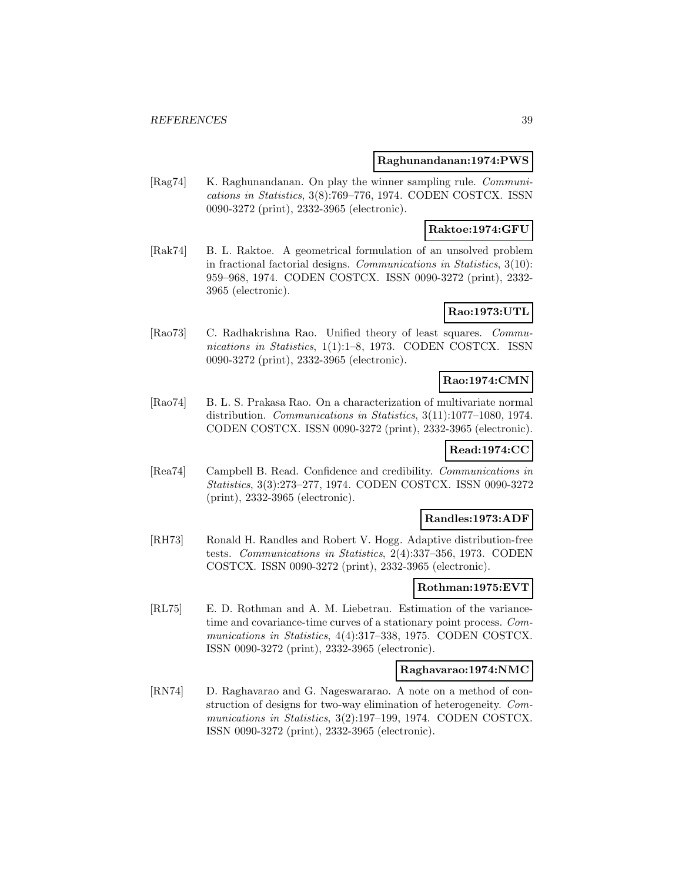#### **Raghunandanan:1974:PWS**

[Rag74] K. Raghunandanan. On play the winner sampling rule. Communications in Statistics, 3(8):769–776, 1974. CODEN COSTCX. ISSN 0090-3272 (print), 2332-3965 (electronic).

#### **Raktoe:1974:GFU**

[Rak74] B. L. Raktoe. A geometrical formulation of an unsolved problem in fractional factorial designs. Communications in Statistics, 3(10): 959–968, 1974. CODEN COSTCX. ISSN 0090-3272 (print), 2332- 3965 (electronic).

# **Rao:1973:UTL**

[Rao73] C. Radhakrishna Rao. Unified theory of least squares. Communications in Statistics, 1(1):1–8, 1973. CODEN COSTCX. ISSN 0090-3272 (print), 2332-3965 (electronic).

# **Rao:1974:CMN**

[Rao74] B. L. S. Prakasa Rao. On a characterization of multivariate normal distribution. Communications in Statistics, 3(11):1077–1080, 1974. CODEN COSTCX. ISSN 0090-3272 (print), 2332-3965 (electronic).

# **Read:1974:CC**

[Rea74] Campbell B. Read. Confidence and credibility. Communications in Statistics, 3(3):273–277, 1974. CODEN COSTCX. ISSN 0090-3272 (print), 2332-3965 (electronic).

### **Randles:1973:ADF**

[RH73] Ronald H. Randles and Robert V. Hogg. Adaptive distribution-free tests. Communications in Statistics, 2(4):337–356, 1973. CODEN COSTCX. ISSN 0090-3272 (print), 2332-3965 (electronic).

# **Rothman:1975:EVT**

[RL75] E. D. Rothman and A. M. Liebetrau. Estimation of the variancetime and covariance-time curves of a stationary point process. Communications in Statistics, 4(4):317–338, 1975. CODEN COSTCX. ISSN 0090-3272 (print), 2332-3965 (electronic).

### **Raghavarao:1974:NMC**

[RN74] D. Raghavarao and G. Nageswararao. A note on a method of construction of designs for two-way elimination of heterogeneity. Communications in Statistics, 3(2):197–199, 1974. CODEN COSTCX. ISSN 0090-3272 (print), 2332-3965 (electronic).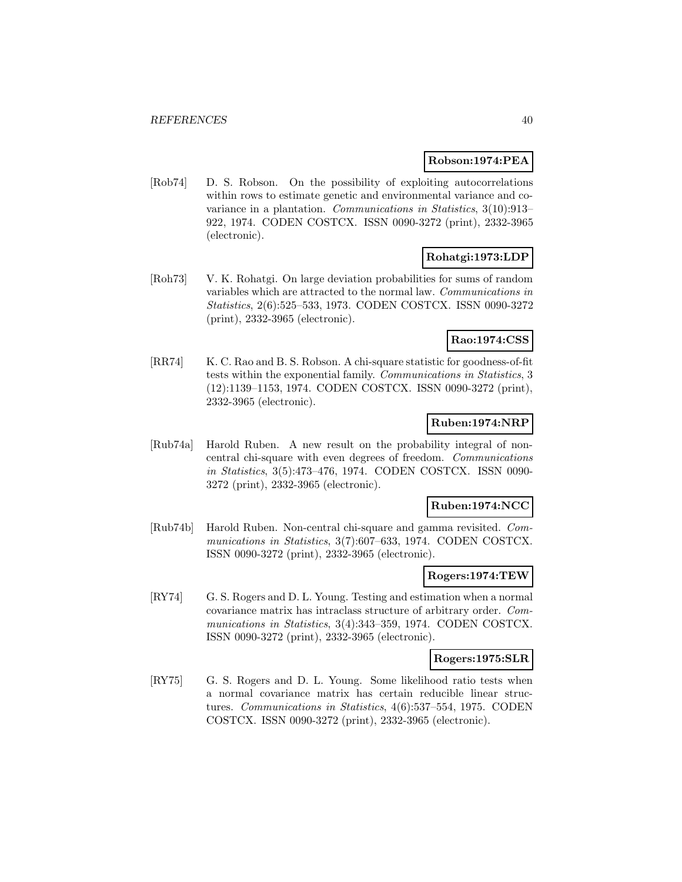#### **Robson:1974:PEA**

[Rob74] D. S. Robson. On the possibility of exploiting autocorrelations within rows to estimate genetic and environmental variance and covariance in a plantation. Communications in Statistics, 3(10):913– 922, 1974. CODEN COSTCX. ISSN 0090-3272 (print), 2332-3965 (electronic).

# **Rohatgi:1973:LDP**

[Roh73] V. K. Rohatgi. On large deviation probabilities for sums of random variables which are attracted to the normal law. Communications in Statistics, 2(6):525–533, 1973. CODEN COSTCX. ISSN 0090-3272 (print), 2332-3965 (electronic).

# **Rao:1974:CSS**

[RR74] K. C. Rao and B. S. Robson. A chi-square statistic for goodness-of-fit tests within the exponential family. Communications in Statistics, 3 (12):1139–1153, 1974. CODEN COSTCX. ISSN 0090-3272 (print), 2332-3965 (electronic).

# **Ruben:1974:NRP**

[Rub74a] Harold Ruben. A new result on the probability integral of noncentral chi-square with even degrees of freedom. Communications in Statistics, 3(5):473–476, 1974. CODEN COSTCX. ISSN 0090- 3272 (print), 2332-3965 (electronic).

#### **Ruben:1974:NCC**

[Rub74b] Harold Ruben. Non-central chi-square and gamma revisited. Communications in Statistics, 3(7):607–633, 1974. CODEN COSTCX. ISSN 0090-3272 (print), 2332-3965 (electronic).

#### **Rogers:1974:TEW**

[RY74] G. S. Rogers and D. L. Young. Testing and estimation when a normal covariance matrix has intraclass structure of arbitrary order. Communications in Statistics, 3(4):343–359, 1974. CODEN COSTCX. ISSN 0090-3272 (print), 2332-3965 (electronic).

#### **Rogers:1975:SLR**

[RY75] G. S. Rogers and D. L. Young. Some likelihood ratio tests when a normal covariance matrix has certain reducible linear structures. Communications in Statistics, 4(6):537–554, 1975. CODEN COSTCX. ISSN 0090-3272 (print), 2332-3965 (electronic).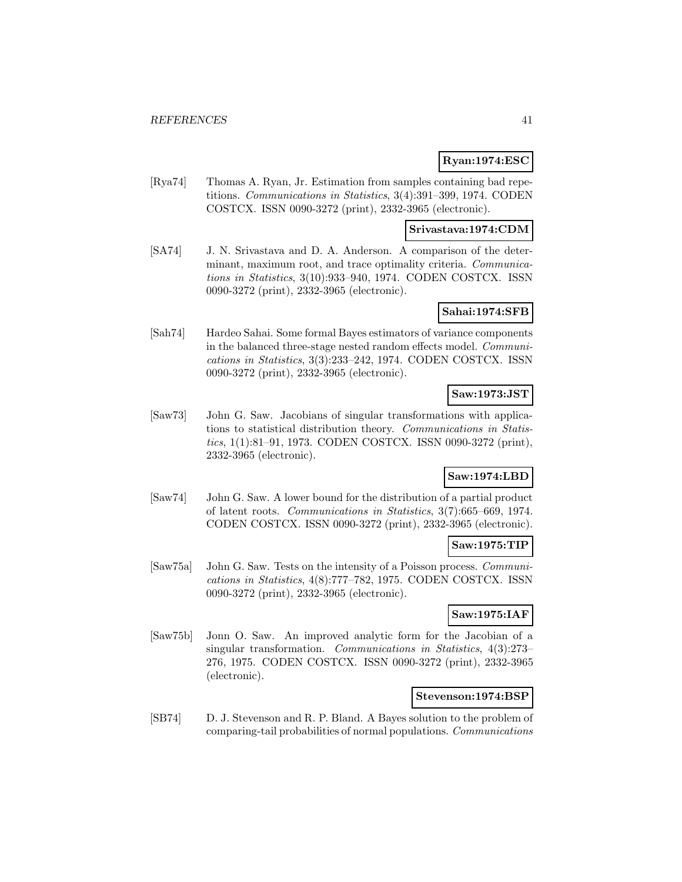### **Ryan:1974:ESC**

[Rya74] Thomas A. Ryan, Jr. Estimation from samples containing bad repetitions. Communications in Statistics, 3(4):391–399, 1974. CODEN COSTCX. ISSN 0090-3272 (print), 2332-3965 (electronic).

### **Srivastava:1974:CDM**

[SA74] J. N. Srivastava and D. A. Anderson. A comparison of the determinant, maximum root, and trace optimality criteria. Communications in Statistics, 3(10):933–940, 1974. CODEN COSTCX. ISSN 0090-3272 (print), 2332-3965 (electronic).

# **Sahai:1974:SFB**

[Sah74] Hardeo Sahai. Some formal Bayes estimators of variance components in the balanced three-stage nested random effects model. Communications in Statistics, 3(3):233–242, 1974. CODEN COSTCX. ISSN 0090-3272 (print), 2332-3965 (electronic).

# **Saw:1973:JST**

[Saw73] John G. Saw. Jacobians of singular transformations with applications to statistical distribution theory. Communications in Statistics, 1(1):81–91, 1973. CODEN COSTCX. ISSN 0090-3272 (print), 2332-3965 (electronic).

# **Saw:1974:LBD**

[Saw74] John G. Saw. A lower bound for the distribution of a partial product of latent roots. Communications in Statistics, 3(7):665–669, 1974. CODEN COSTCX. ISSN 0090-3272 (print), 2332-3965 (electronic).

# **Saw:1975:TIP**

[Saw75a] John G. Saw. Tests on the intensity of a Poisson process. Communications in Statistics, 4(8):777–782, 1975. CODEN COSTCX. ISSN 0090-3272 (print), 2332-3965 (electronic).

# **Saw:1975:IAF**

[Saw75b] Jonn O. Saw. An improved analytic form for the Jacobian of a singular transformation. Communications in Statistics, 4(3):273-276, 1975. CODEN COSTCX. ISSN 0090-3272 (print), 2332-3965 (electronic).

#### **Stevenson:1974:BSP**

[SB74] D. J. Stevenson and R. P. Bland. A Bayes solution to the problem of comparing-tail probabilities of normal populations. Communications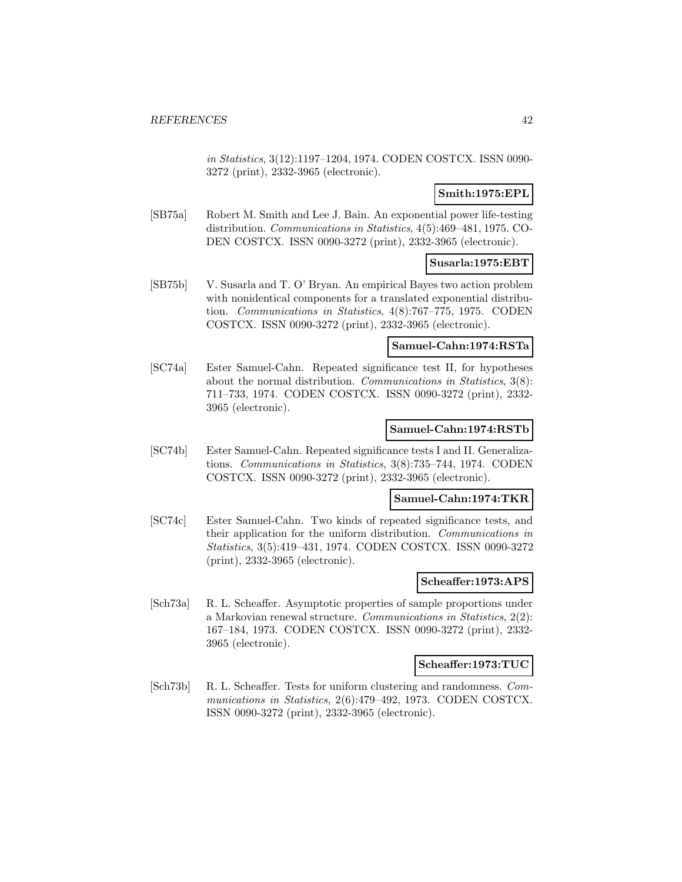in Statistics, 3(12):1197–1204, 1974. CODEN COSTCX. ISSN 0090- 3272 (print), 2332-3965 (electronic).

# **Smith:1975:EPL**

[SB75a] Robert M. Smith and Lee J. Bain. An exponential power life-testing distribution. Communications in Statistics, 4(5):469–481, 1975. CO-DEN COSTCX. ISSN 0090-3272 (print), 2332-3965 (electronic).

# **Susarla:1975:EBT**

[SB75b] V. Susarla and T. O' Bryan. An empirical Bayes two action problem with nonidentical components for a translated exponential distribution. Communications in Statistics, 4(8):767–775, 1975. CODEN COSTCX. ISSN 0090-3272 (print), 2332-3965 (electronic).

# **Samuel-Cahn:1974:RSTa**

[SC74a] Ester Samuel-Cahn. Repeated significance test II, for hypotheses about the normal distribution. Communications in Statistics, 3(8): 711–733, 1974. CODEN COSTCX. ISSN 0090-3272 (print), 2332- 3965 (electronic).

# **Samuel-Cahn:1974:RSTb**

[SC74b] Ester Samuel-Cahn. Repeated significance tests I and II. Generalizations. Communications in Statistics, 3(8):735–744, 1974. CODEN COSTCX. ISSN 0090-3272 (print), 2332-3965 (electronic).

#### **Samuel-Cahn:1974:TKR**

[SC74c] Ester Samuel-Cahn. Two kinds of repeated significance tests, and their application for the uniform distribution. Communications in Statistics, 3(5):419–431, 1974. CODEN COSTCX. ISSN 0090-3272 (print), 2332-3965 (electronic).

#### **Scheaffer:1973:APS**

[Sch73a] R. L. Scheaffer. Asymptotic properties of sample proportions under a Markovian renewal structure. Communications in Statistics, 2(2): 167–184, 1973. CODEN COSTCX. ISSN 0090-3272 (print), 2332- 3965 (electronic).

#### **Scheaffer:1973:TUC**

[Sch73b] R. L. Scheaffer. Tests for uniform clustering and randomness. Communications in Statistics, 2(6):479–492, 1973. CODEN COSTCX. ISSN 0090-3272 (print), 2332-3965 (electronic).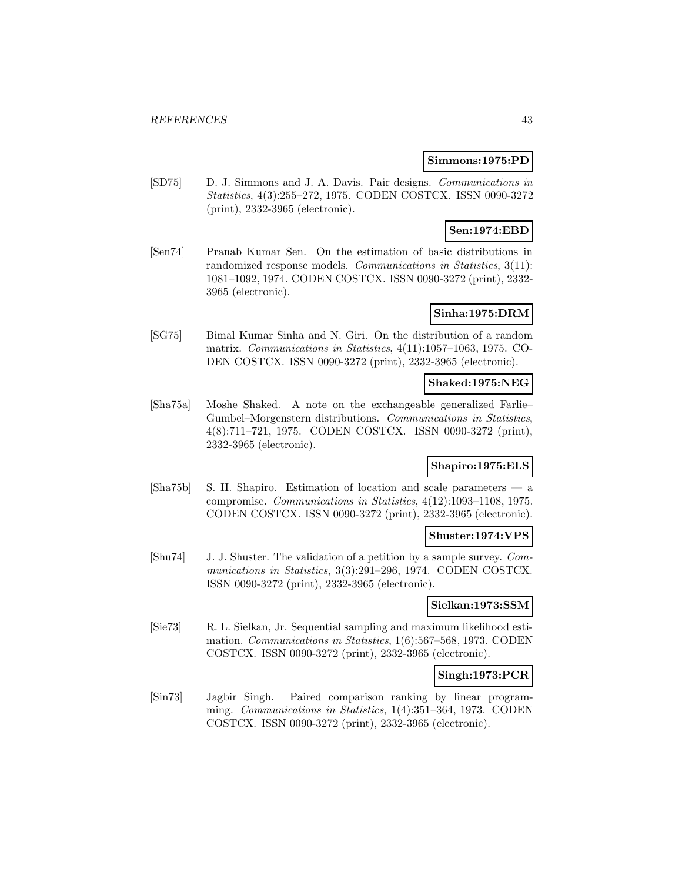#### **Simmons:1975:PD**

[SD75] D. J. Simmons and J. A. Davis. Pair designs. Communications in Statistics, 4(3):255–272, 1975. CODEN COSTCX. ISSN 0090-3272 (print), 2332-3965 (electronic).

# **Sen:1974:EBD**

[Sen74] Pranab Kumar Sen. On the estimation of basic distributions in randomized response models. Communications in Statistics, 3(11): 1081–1092, 1974. CODEN COSTCX. ISSN 0090-3272 (print), 2332- 3965 (electronic).

### **Sinha:1975:DRM**

[SG75] Bimal Kumar Sinha and N. Giri. On the distribution of a random matrix. Communications in Statistics, 4(11):1057–1063, 1975. CO-DEN COSTCX. ISSN 0090-3272 (print), 2332-3965 (electronic).

# **Shaked:1975:NEG**

[Sha75a] Moshe Shaked. A note on the exchangeable generalized Farlie– Gumbel–Morgenstern distributions. Communications in Statistics, 4(8):711–721, 1975. CODEN COSTCX. ISSN 0090-3272 (print), 2332-3965 (electronic).

### **Shapiro:1975:ELS**

[Sha75b] S. H. Shapiro. Estimation of location and scale parameters — a compromise. Communications in Statistics, 4(12):1093–1108, 1975. CODEN COSTCX. ISSN 0090-3272 (print), 2332-3965 (electronic).

# **Shuster:1974:VPS**

[Shu74] J. J. Shuster. The validation of a petition by a sample survey. Communications in Statistics, 3(3):291–296, 1974. CODEN COSTCX. ISSN 0090-3272 (print), 2332-3965 (electronic).

# **Sielkan:1973:SSM**

[Sie73] R. L. Sielkan, Jr. Sequential sampling and maximum likelihood estimation. Communications in Statistics, 1(6):567–568, 1973. CODEN COSTCX. ISSN 0090-3272 (print), 2332-3965 (electronic).

#### **Singh:1973:PCR**

[Sin73] Jagbir Singh. Paired comparison ranking by linear programming. Communications in Statistics, 1(4):351–364, 1973. CODEN COSTCX. ISSN 0090-3272 (print), 2332-3965 (electronic).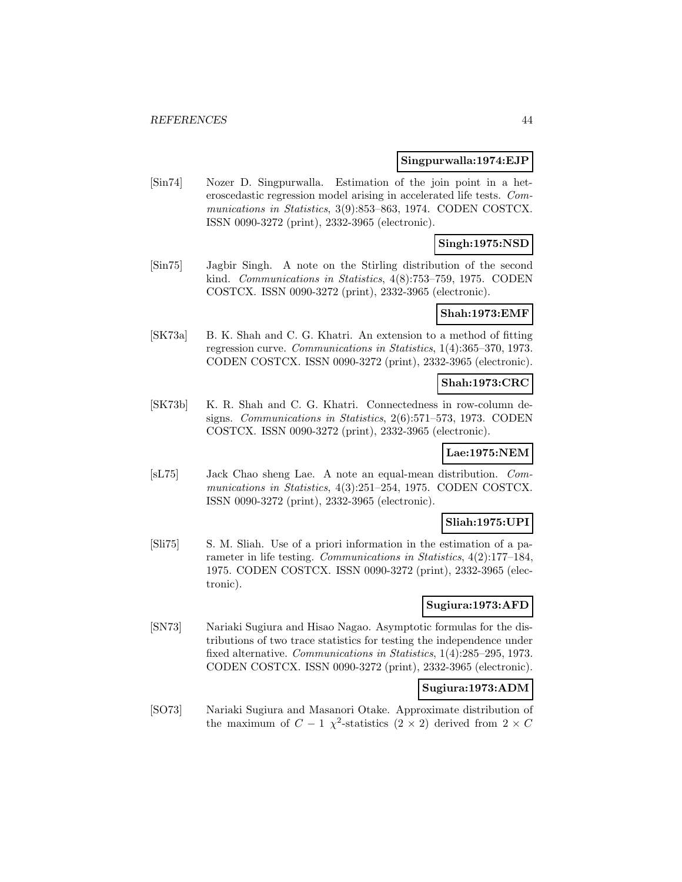#### **Singpurwalla:1974:EJP**

[Sin74] Nozer D. Singpurwalla. Estimation of the join point in a heteroscedastic regression model arising in accelerated life tests. Communications in Statistics, 3(9):853–863, 1974. CODEN COSTCX. ISSN 0090-3272 (print), 2332-3965 (electronic).

# **Singh:1975:NSD**

[Sin75] Jagbir Singh. A note on the Stirling distribution of the second kind. Communications in Statistics, 4(8):753–759, 1975. CODEN COSTCX. ISSN 0090-3272 (print), 2332-3965 (electronic).

#### **Shah:1973:EMF**

[SK73a] B. K. Shah and C. G. Khatri. An extension to a method of fitting regression curve. Communications in Statistics, 1(4):365–370, 1973. CODEN COSTCX. ISSN 0090-3272 (print), 2332-3965 (electronic).

#### **Shah:1973:CRC**

[SK73b] K. R. Shah and C. G. Khatri. Connectedness in row-column designs. Communications in Statistics, 2(6):571–573, 1973. CODEN COSTCX. ISSN 0090-3272 (print), 2332-3965 (electronic).

#### **Lae:1975:NEM**

[sL75] Jack Chao sheng Lae. A note an equal-mean distribution. Communications in Statistics, 4(3):251–254, 1975. CODEN COSTCX. ISSN 0090-3272 (print), 2332-3965 (electronic).

#### **Sliah:1975:UPI**

[Sli75] S. M. Sliah. Use of a priori information in the estimation of a parameter in life testing. Communications in Statistics, 4(2):177–184, 1975. CODEN COSTCX. ISSN 0090-3272 (print), 2332-3965 (electronic).

# **Sugiura:1973:AFD**

[SN73] Nariaki Sugiura and Hisao Nagao. Asymptotic formulas for the distributions of two trace statistics for testing the independence under fixed alternative. Communications in Statistics, 1(4):285–295, 1973. CODEN COSTCX. ISSN 0090-3272 (print), 2332-3965 (electronic).

# **Sugiura:1973:ADM**

[SO73] Nariaki Sugiura and Masanori Otake. Approximate distribution of the maximum of  $C - 1 \chi^2$ -statistics  $(2 \times 2)$  derived from  $2 \times C$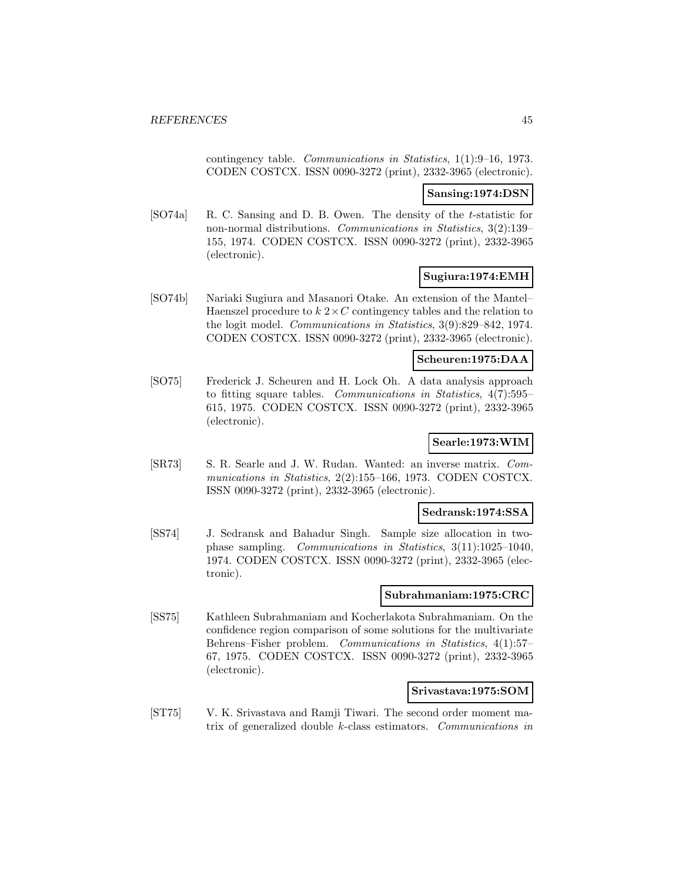contingency table. Communications in Statistics, 1(1):9–16, 1973. CODEN COSTCX. ISSN 0090-3272 (print), 2332-3965 (electronic).

### **Sansing:1974:DSN**

[SO74a] R. C. Sansing and D. B. Owen. The density of the t-statistic for non-normal distributions. Communications in Statistics, 3(2):139– 155, 1974. CODEN COSTCX. ISSN 0090-3272 (print), 2332-3965 (electronic).

# **Sugiura:1974:EMH**

[SO74b] Nariaki Sugiura and Masanori Otake. An extension of the Mantel– Haenszel procedure to  $k \cdot 2 \times C$  contingency tables and the relation to the logit model. Communications in Statistics, 3(9):829–842, 1974. CODEN COSTCX. ISSN 0090-3272 (print), 2332-3965 (electronic).

# **Scheuren:1975:DAA**

[SO75] Frederick J. Scheuren and H. Lock Oh. A data analysis approach to fitting square tables. Communications in Statistics, 4(7):595– 615, 1975. CODEN COSTCX. ISSN 0090-3272 (print), 2332-3965 (electronic).

# **Searle:1973:WIM**

[SR73] S. R. Searle and J. W. Rudan. Wanted: an inverse matrix. Communications in Statistics, 2(2):155–166, 1973. CODEN COSTCX. ISSN 0090-3272 (print), 2332-3965 (electronic).

### **Sedransk:1974:SSA**

[SS74] J. Sedransk and Bahadur Singh. Sample size allocation in twophase sampling. Communications in Statistics, 3(11):1025–1040, 1974. CODEN COSTCX. ISSN 0090-3272 (print), 2332-3965 (electronic).

# **Subrahmaniam:1975:CRC**

[SS75] Kathleen Subrahmaniam and Kocherlakota Subrahmaniam. On the confidence region comparison of some solutions for the multivariate Behrens–Fisher problem. Communications in Statistics, 4(1):57– 67, 1975. CODEN COSTCX. ISSN 0090-3272 (print), 2332-3965 (electronic).

#### **Srivastava:1975:SOM**

[ST75] V. K. Srivastava and Ramji Tiwari. The second order moment matrix of generalized double k-class estimators. Communications in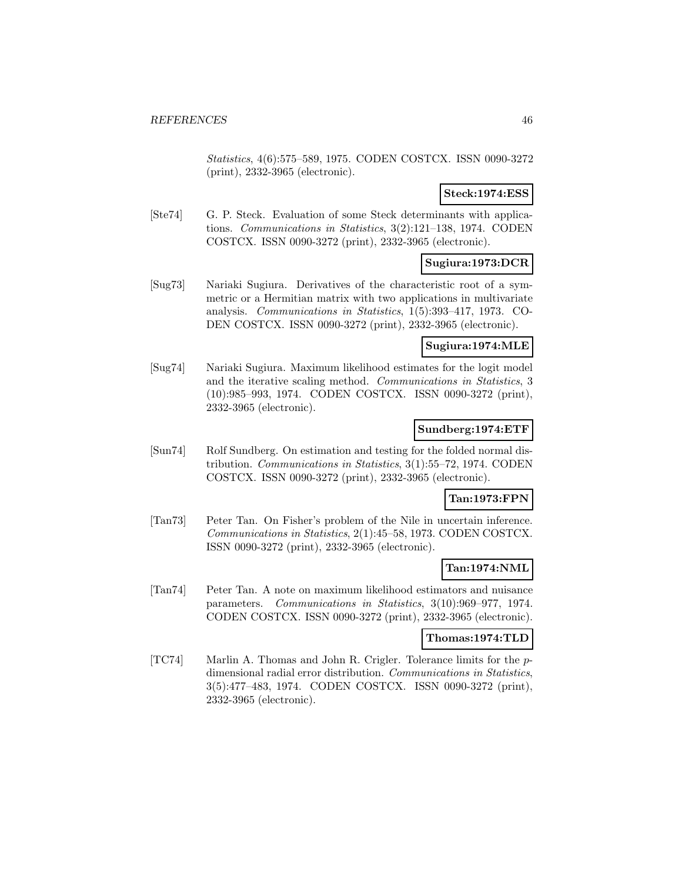Statistics, 4(6):575–589, 1975. CODEN COSTCX. ISSN 0090-3272 (print), 2332-3965 (electronic).

# **Steck:1974:ESS**

[Ste74] G. P. Steck. Evaluation of some Steck determinants with applications. Communications in Statistics, 3(2):121–138, 1974. CODEN COSTCX. ISSN 0090-3272 (print), 2332-3965 (electronic).

# **Sugiura:1973:DCR**

[Sug73] Nariaki Sugiura. Derivatives of the characteristic root of a symmetric or a Hermitian matrix with two applications in multivariate analysis. Communications in Statistics, 1(5):393–417, 1973. CO-DEN COSTCX. ISSN 0090-3272 (print), 2332-3965 (electronic).

### **Sugiura:1974:MLE**

[Sug74] Nariaki Sugiura. Maximum likelihood estimates for the logit model and the iterative scaling method. Communications in Statistics, 3 (10):985–993, 1974. CODEN COSTCX. ISSN 0090-3272 (print), 2332-3965 (electronic).

# **Sundberg:1974:ETF**

[Sun74] Rolf Sundberg. On estimation and testing for the folded normal distribution. Communications in Statistics, 3(1):55–72, 1974. CODEN COSTCX. ISSN 0090-3272 (print), 2332-3965 (electronic).

#### **Tan:1973:FPN**

[Tan73] Peter Tan. On Fisher's problem of the Nile in uncertain inference. Communications in Statistics, 2(1):45–58, 1973. CODEN COSTCX. ISSN 0090-3272 (print), 2332-3965 (electronic).

# **Tan:1974:NML**

[Tan74] Peter Tan. A note on maximum likelihood estimators and nuisance parameters. Communications in Statistics, 3(10):969–977, 1974. CODEN COSTCX. ISSN 0090-3272 (print), 2332-3965 (electronic).

#### **Thomas:1974:TLD**

[TC74] Marlin A. Thomas and John R. Crigler. Tolerance limits for the pdimensional radial error distribution. Communications in Statistics, 3(5):477–483, 1974. CODEN COSTCX. ISSN 0090-3272 (print), 2332-3965 (electronic).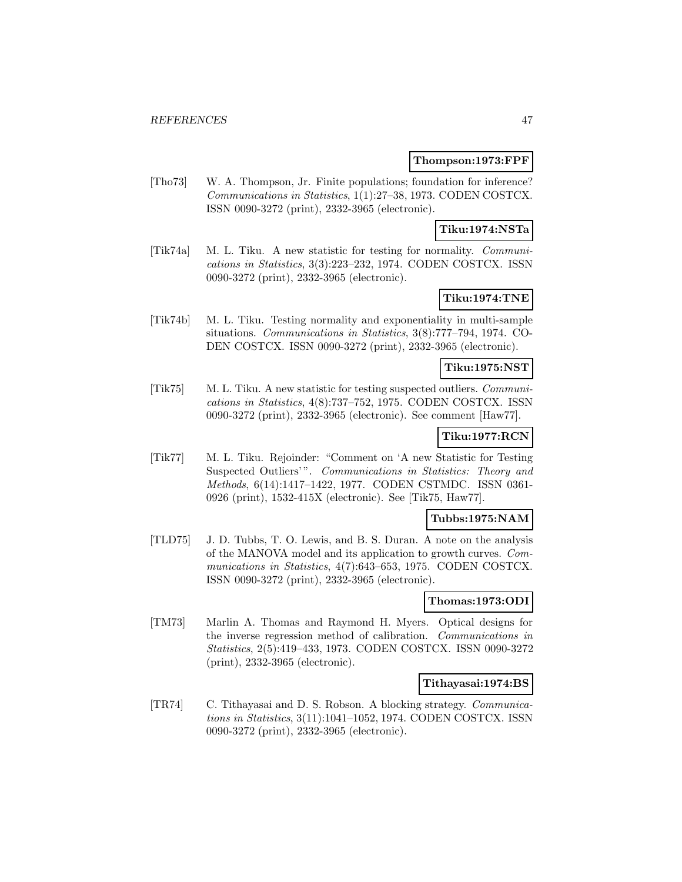#### **Thompson:1973:FPF**

[Tho73] W. A. Thompson, Jr. Finite populations; foundation for inference? Communications in Statistics, 1(1):27–38, 1973. CODEN COSTCX. ISSN 0090-3272 (print), 2332-3965 (electronic).

# **Tiku:1974:NSTa**

[Tik74a] M. L. Tiku. A new statistic for testing for normality. Communications in Statistics, 3(3):223–232, 1974. CODEN COSTCX. ISSN 0090-3272 (print), 2332-3965 (electronic).

# **Tiku:1974:TNE**

[Tik74b] M. L. Tiku. Testing normality and exponentiality in multi-sample situations. Communications in Statistics, 3(8):777–794, 1974. CO-DEN COSTCX. ISSN 0090-3272 (print), 2332-3965 (electronic).

# **Tiku:1975:NST**

[Tik75] M. L. Tiku. A new statistic for testing suspected outliers. Communications in Statistics, 4(8):737–752, 1975. CODEN COSTCX. ISSN 0090-3272 (print), 2332-3965 (electronic). See comment [Haw77].

# **Tiku:1977:RCN**

[Tik77] M. L. Tiku. Rejoinder: "Comment on 'A new Statistic for Testing Suspected Outliers'". Communications in Statistics: Theory and Methods, 6(14):1417–1422, 1977. CODEN CSTMDC. ISSN 0361- 0926 (print), 1532-415X (electronic). See [Tik75, Haw77].

#### **Tubbs:1975:NAM**

[TLD75] J. D. Tubbs, T. O. Lewis, and B. S. Duran. A note on the analysis of the MANOVA model and its application to growth curves. Communications in Statistics, 4(7):643–653, 1975. CODEN COSTCX. ISSN 0090-3272 (print), 2332-3965 (electronic).

#### **Thomas:1973:ODI**

[TM73] Marlin A. Thomas and Raymond H. Myers. Optical designs for the inverse regression method of calibration. Communications in Statistics, 2(5):419–433, 1973. CODEN COSTCX. ISSN 0090-3272 (print), 2332-3965 (electronic).

### **Tithayasai:1974:BS**

[TR74] C. Tithayasai and D. S. Robson. A blocking strategy. Communications in Statistics, 3(11):1041–1052, 1974. CODEN COSTCX. ISSN 0090-3272 (print), 2332-3965 (electronic).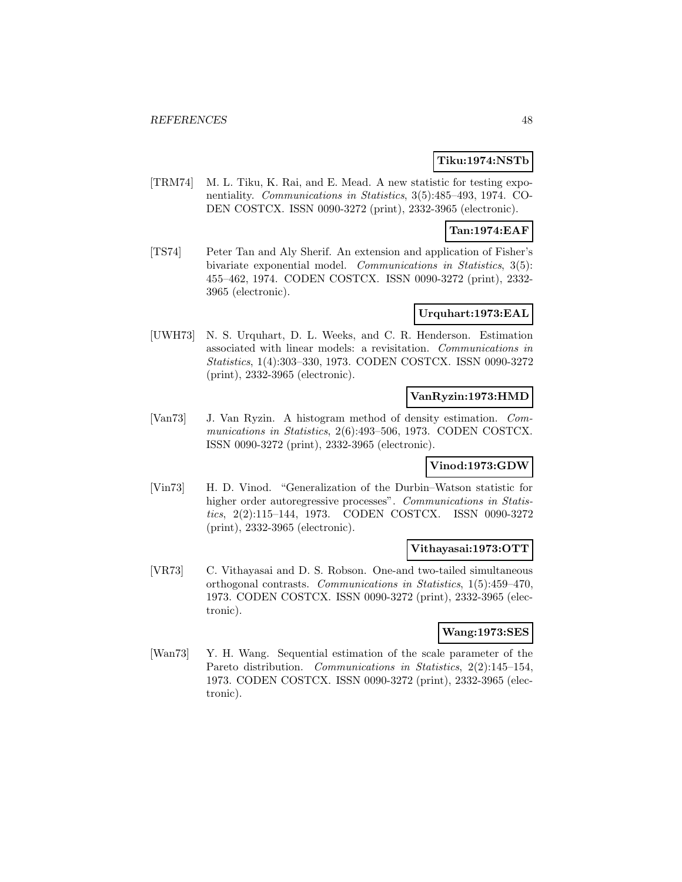# **Tiku:1974:NSTb**

[TRM74] M. L. Tiku, K. Rai, and E. Mead. A new statistic for testing exponentiality. Communications in Statistics, 3(5):485–493, 1974. CO-DEN COSTCX. ISSN 0090-3272 (print), 2332-3965 (electronic).

# **Tan:1974:EAF**

[TS74] Peter Tan and Aly Sherif. An extension and application of Fisher's bivariate exponential model. Communications in Statistics, 3(5): 455–462, 1974. CODEN COSTCX. ISSN 0090-3272 (print), 2332- 3965 (electronic).

### **Urquhart:1973:EAL**

[UWH73] N. S. Urquhart, D. L. Weeks, and C. R. Henderson. Estimation associated with linear models: a revisitation. Communications in Statistics, 1(4):303–330, 1973. CODEN COSTCX. ISSN 0090-3272 (print), 2332-3965 (electronic).

### **VanRyzin:1973:HMD**

[Van73] J. Van Ryzin. A histogram method of density estimation. Communications in Statistics, 2(6):493–506, 1973. CODEN COSTCX. ISSN 0090-3272 (print), 2332-3965 (electronic).

# **Vinod:1973:GDW**

[Vin73] H. D. Vinod. "Generalization of the Durbin–Watson statistic for higher order autoregressive processes". Communications in Statistics, 2(2):115–144, 1973. CODEN COSTCX. ISSN 0090-3272 (print), 2332-3965 (electronic).

#### **Vithayasai:1973:OTT**

[VR73] C. Vithayasai and D. S. Robson. One-and two-tailed simultaneous orthogonal contrasts. Communications in Statistics, 1(5):459–470, 1973. CODEN COSTCX. ISSN 0090-3272 (print), 2332-3965 (electronic).

# **Wang:1973:SES**

[Wan73] Y. H. Wang. Sequential estimation of the scale parameter of the Pareto distribution. Communications in Statistics, 2(2):145-154, 1973. CODEN COSTCX. ISSN 0090-3272 (print), 2332-3965 (electronic).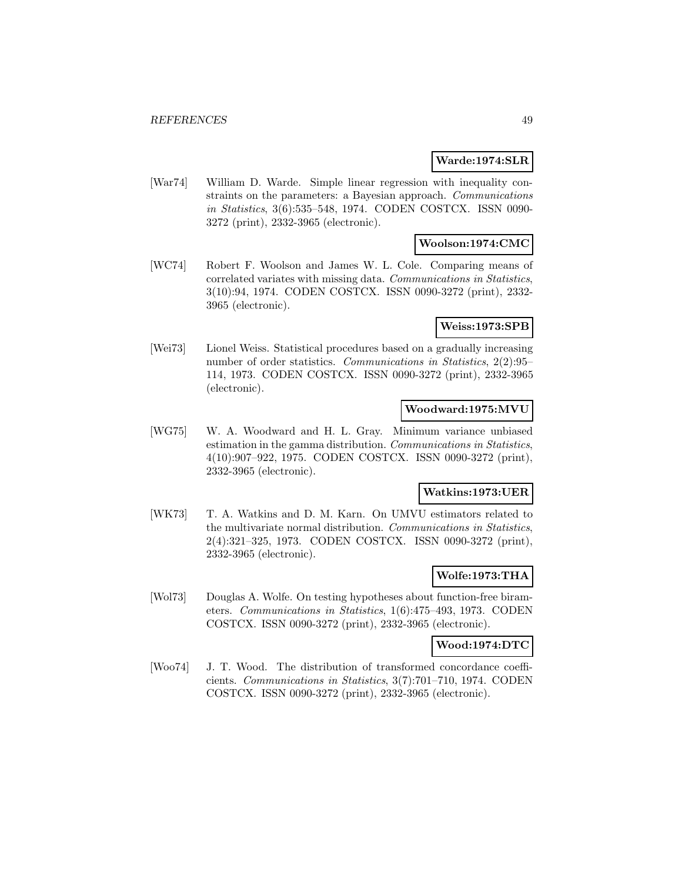#### **Warde:1974:SLR**

[War74] William D. Warde. Simple linear regression with inequality constraints on the parameters: a Bayesian approach. Communications in Statistics, 3(6):535–548, 1974. CODEN COSTCX. ISSN 0090- 3272 (print), 2332-3965 (electronic).

#### **Woolson:1974:CMC**

[WC74] Robert F. Woolson and James W. L. Cole. Comparing means of correlated variates with missing data. Communications in Statistics, 3(10):94, 1974. CODEN COSTCX. ISSN 0090-3272 (print), 2332- 3965 (electronic).

#### **Weiss:1973:SPB**

[Wei73] Lionel Weiss. Statistical procedures based on a gradually increasing number of order statistics. Communications in Statistics, 2(2):95– 114, 1973. CODEN COSTCX. ISSN 0090-3272 (print), 2332-3965 (electronic).

### **Woodward:1975:MVU**

[WG75] W. A. Woodward and H. L. Gray. Minimum variance unbiased estimation in the gamma distribution. Communications in Statistics, 4(10):907–922, 1975. CODEN COSTCX. ISSN 0090-3272 (print), 2332-3965 (electronic).

#### **Watkins:1973:UER**

[WK73] T. A. Watkins and D. M. Karn. On UMVU estimators related to the multivariate normal distribution. Communications in Statistics, 2(4):321–325, 1973. CODEN COSTCX. ISSN 0090-3272 (print), 2332-3965 (electronic).

### **Wolfe:1973:THA**

[Wol73] Douglas A. Wolfe. On testing hypotheses about function-free birameters. Communications in Statistics, 1(6):475–493, 1973. CODEN COSTCX. ISSN 0090-3272 (print), 2332-3965 (electronic).

#### **Wood:1974:DTC**

[Woo74] J. T. Wood. The distribution of transformed concordance coefficients. Communications in Statistics, 3(7):701–710, 1974. CODEN COSTCX. ISSN 0090-3272 (print), 2332-3965 (electronic).